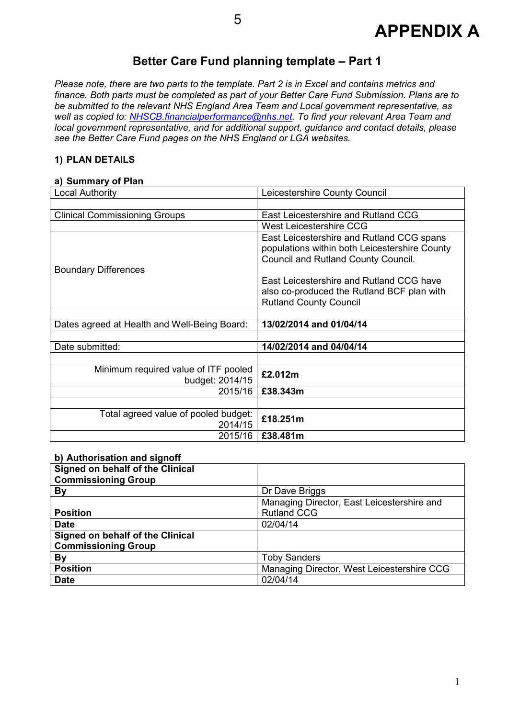

## **Better Care Fund planning template – Part 1**

*Please note, there are two parts to the template. Part 2 is in Excel and contains metrics and finance. Both parts must be completed as part of your Better Care Fund Submission. Plans are to be submitted to the relevant NHS England Area Team and Local government representative, as well as copied to: NHSCB.financialperformance@nhs.net. To find your relevant Area Team and local government representative, and for additional support, guidance and contact details, please see the Better Care Fund pages on the NHS England or LGA websites.* 

#### **1) PLAN DETAILS**

#### **a) Summary of Plan**

| Local Authority                              | Leicestershire County Council                 |  |
|----------------------------------------------|-----------------------------------------------|--|
|                                              |                                               |  |
| <b>Clinical Commissioning Groups</b>         | East Leicestershire and Rutland CCG           |  |
|                                              | West Leicestershire CCG                       |  |
|                                              | East Leicestershire and Rutland CCG spans     |  |
|                                              | populations within both Leicestershire County |  |
|                                              | Council and Rutland County Council.           |  |
| <b>Boundary Differences</b>                  |                                               |  |
|                                              | East Leicestershire and Rutland CCG have      |  |
|                                              | also co-produced the Rutland BCF plan with    |  |
|                                              | <b>Rutland County Council</b>                 |  |
|                                              |                                               |  |
| Dates agreed at Health and Well-Being Board: | 13/02/2014 and 01/04/14                       |  |
|                                              |                                               |  |
| Date submitted:                              | 14/02/2014 and 04/04/14                       |  |
|                                              |                                               |  |
| Minimum required value of ITF pooled         | £2.012m                                       |  |
| budget: 2014/15                              |                                               |  |
| 2015/16                                      | £38,343m                                      |  |
|                                              |                                               |  |
| Total agreed value of pooled budget:         | £18.251m                                      |  |
| 2014/15                                      |                                               |  |
| 2015/16                                      | £38.481m                                      |  |

#### **b) Authorisation and signoff**

| Signed on behalf of the Clinical |                                            |
|----------------------------------|--------------------------------------------|
| <b>Commissioning Group</b>       |                                            |
| <b>By</b>                        | Dr Dave Briggs                             |
|                                  | Managing Director, East Leicestershire and |
| <b>Position</b>                  | <b>Rutland CCG</b>                         |
| <b>Date</b>                      | 02/04/14                                   |
| Signed on behalf of the Clinical |                                            |
| <b>Commissioning Group</b>       |                                            |
| By                               | <b>Toby Sanders</b>                        |
| <b>Position</b>                  | Managing Director, West Leicestershire CCG |
| <b>Date</b>                      | 02/04/14                                   |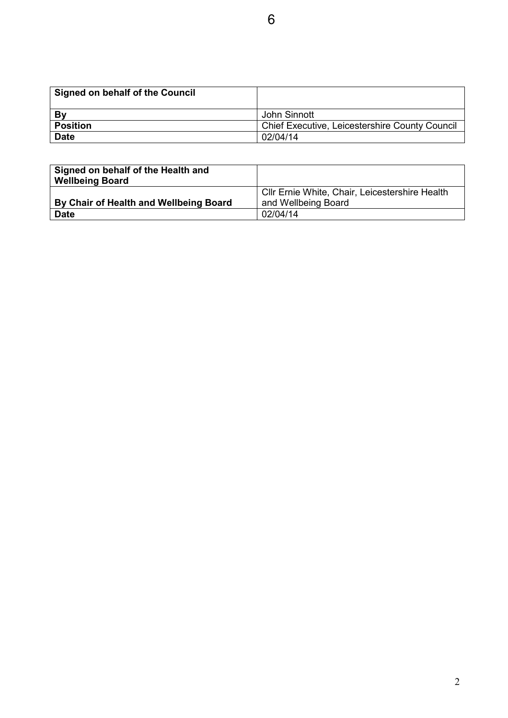| Signed on behalf of the Council |                                                       |
|---------------------------------|-------------------------------------------------------|
| Bv                              | John Sinnott                                          |
| <b>Position</b>                 | <b>Chief Executive, Leicestershire County Council</b> |
| <b>Date</b>                     | 02/04/14                                              |

| Signed on behalf of the Health and<br><b>Wellbeing Board</b> |                                                                       |
|--------------------------------------------------------------|-----------------------------------------------------------------------|
| By Chair of Health and Wellbeing Board                       | CIIr Ernie White, Chair, Leicestershire Health<br>and Wellbeing Board |
| <b>Date</b>                                                  | 02/04/14                                                              |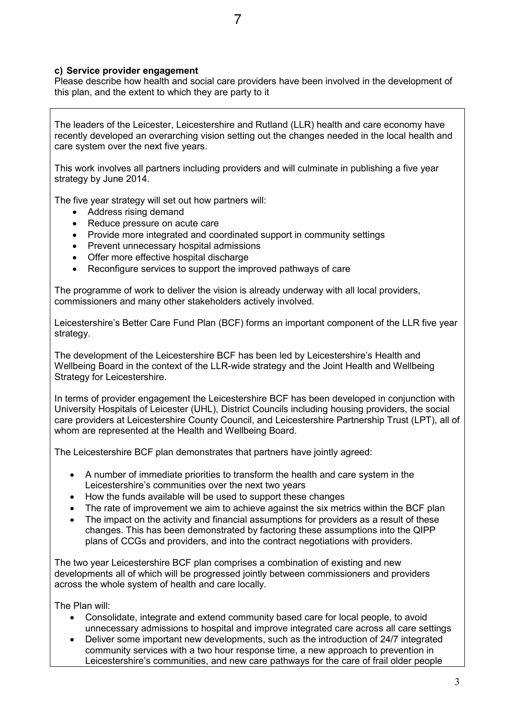#### **c) Service provider engagement**

Please describe how health and social care providers have been involved in the development of this plan, and the extent to which they are party to it

The leaders of the Leicester, Leicestershire and Rutland (LLR) health and care economy have recently developed an overarching vision setting out the changes needed in the local health and care system over the next five years.

This work involves all partners including providers and will culminate in publishing a five year strategy by June 2014.

The five year strategy will set out how partners will:

- Address rising demand
- Reduce pressure on acute care
- Provide more integrated and coordinated support in community settings
- Prevent unnecessary hospital admissions
- Offer more effective hospital discharge
- Reconfigure services to support the improved pathways of care

The programme of work to deliver the vision is already underway with all local providers, commissioners and many other stakeholders actively involved.

Leicestershire's Better Care Fund Plan (BCF) forms an important component of the LLR five year strategy.

The development of the Leicestershire BCF has been led by Leicestershire's Health and Wellbeing Board in the context of the LLR-wide strategy and the Joint Health and Wellbeing Strategy for Leicestershire.

In terms of provider engagement the Leicestershire BCF has been developed in conjunction with University Hospitals of Leicester (UHL), District Councils including housing providers, the social care providers at Leicestershire County Council, and Leicestershire Partnership Trust (LPT), all of whom are represented at the Health and Wellbeing Board.

The Leicestershire BCF plan demonstrates that partners have jointly agreed:

- A number of immediate priorities to transform the health and care system in the Leicestershire's communities over the next two years
- How the funds available will be used to support these changes
- The rate of improvement we aim to achieve against the six metrics within the BCF plan
- The impact on the activity and financial assumptions for providers as a result of these changes. This has been demonstrated by factoring these assumptions into the QIPP plans of CCGs and providers, and into the contract negotiations with providers.

The two year Leicestershire BCF plan comprises a combination of existing and new developments all of which will be progressed jointly between commissioners and providers across the whole system of health and care locally.

The Plan will:

- Consolidate, integrate and extend community based care for local people, to avoid unnecessary admissions to hospital and improve integrated care across all care settings
- Deliver some important new developments, such as the introduction of 24/7 integrated community services with a two hour response time, a new approach to prevention in Leicestershire's communities, and new care pathways for the care of frail older people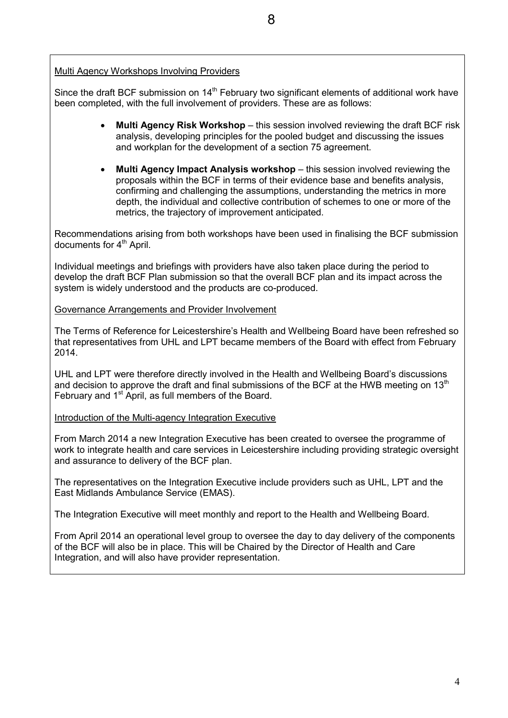#### Multi Agency Workshops Involving Providers

Since the draft BCF submission on 14<sup>th</sup> February two significant elements of additional work have been completed, with the full involvement of providers. These are as follows:

- **Multi Agency Risk Workshop** this session involved reviewing the draft BCF risk analysis, developing principles for the pooled budget and discussing the issues and workplan for the development of a section 75 agreement.
- **Multi Agency Impact Analysis workshop** this session involved reviewing the proposals within the BCF in terms of their evidence base and benefits analysis, confirming and challenging the assumptions, understanding the metrics in more depth, the individual and collective contribution of schemes to one or more of the metrics, the trajectory of improvement anticipated.

Recommendations arising from both workshops have been used in finalising the BCF submission documents for 4<sup>th</sup> April.

Individual meetings and briefings with providers have also taken place during the period to develop the draft BCF Plan submission so that the overall BCF plan and its impact across the system is widely understood and the products are co-produced.

#### Governance Arrangements and Provider Involvement

The Terms of Reference for Leicestershire's Health and Wellbeing Board have been refreshed so that representatives from UHL and LPT became members of the Board with effect from February 2014.

UHL and LPT were therefore directly involved in the Health and Wellbeing Board's discussions and decision to approve the draft and final submissions of the BCF at the HWB meeting on  $13<sup>th</sup>$ February and 1<sup>st</sup> April, as full members of the Board.

Introduction of the Multi-agency Integration Executive

From March 2014 a new Integration Executive has been created to oversee the programme of work to integrate health and care services in Leicestershire including providing strategic oversight and assurance to delivery of the BCF plan.

The representatives on the Integration Executive include providers such as UHL, LPT and the East Midlands Ambulance Service (EMAS).

The Integration Executive will meet monthly and report to the Health and Wellbeing Board.

From April 2014 an operational level group to oversee the day to day delivery of the components of the BCF will also be in place. This will be Chaired by the Director of Health and Care Integration, and will also have provider representation.

8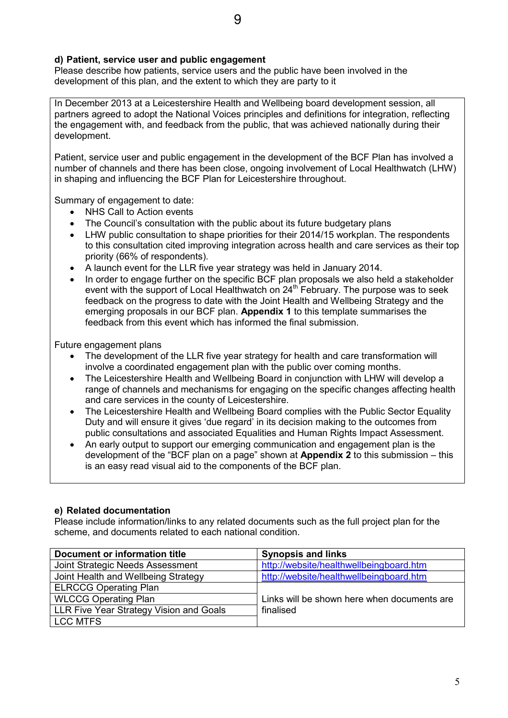#### **d) Patient, service user and public engagement**

Please describe how patients, service users and the public have been involved in the development of this plan, and the extent to which they are party to it

In December 2013 at a Leicestershire Health and Wellbeing board development session, all partners agreed to adopt the National Voices principles and definitions for integration, reflecting the engagement with, and feedback from the public, that was achieved nationally during their development.

Patient, service user and public engagement in the development of the BCF Plan has involved a number of channels and there has been close, ongoing involvement of Local Healthwatch (LHW) in shaping and influencing the BCF Plan for Leicestershire throughout.

Summary of engagement to date:

- NHS Call to Action events
- The Council's consultation with the public about its future budgetary plans
- LHW public consultation to shape priorities for their 2014/15 workplan. The respondents to this consultation cited improving integration across health and care services as their top priority (66% of respondents).
- A launch event for the LLR five year strategy was held in January 2014.
- In order to engage further on the specific BCF plan proposals we also held a stakeholder event with the support of Local Healthwatch on 24<sup>th</sup> February. The purpose was to seek feedback on the progress to date with the Joint Health and Wellbeing Strategy and the emerging proposals in our BCF plan. **Appendix 1** to this template summarises the feedback from this event which has informed the final submission.

Future engagement plans

- The development of the LLR five year strategy for health and care transformation will involve a coordinated engagement plan with the public over coming months.
- The Leicestershire Health and Wellbeing Board in conjunction with LHW will develop a range of channels and mechanisms for engaging on the specific changes affecting health and care services in the county of Leicestershire.
- The Leicestershire Health and Wellbeing Board complies with the Public Sector Equality Duty and will ensure it gives 'due regard' in its decision making to the outcomes from public consultations and associated Equalities and Human Rights Impact Assessment.
- An early output to support our emerging communication and engagement plan is the development of the "BCF plan on a page" shown at **Appendix 2** to this submission – this is an easy read visual aid to the components of the BCF plan.

#### **e) Related documentation**

Please include information/links to any related documents such as the full project plan for the scheme, and documents related to each national condition.

| <b>Document or information title</b>    | <b>Synopsis and links</b>                   |
|-----------------------------------------|---------------------------------------------|
| Joint Strategic Needs Assessment        | http://website/healthwellbeingboard.htm     |
| Joint Health and Wellbeing Strategy     | http://website/healthwellbeingboard.htm     |
| <b>ELRCCG Operating Plan</b>            |                                             |
| <b>WLCCG Operating Plan</b>             | Links will be shown here when documents are |
| LLR Five Year Strategy Vision and Goals | finalised                                   |
| <b>LCC MTFS</b>                         |                                             |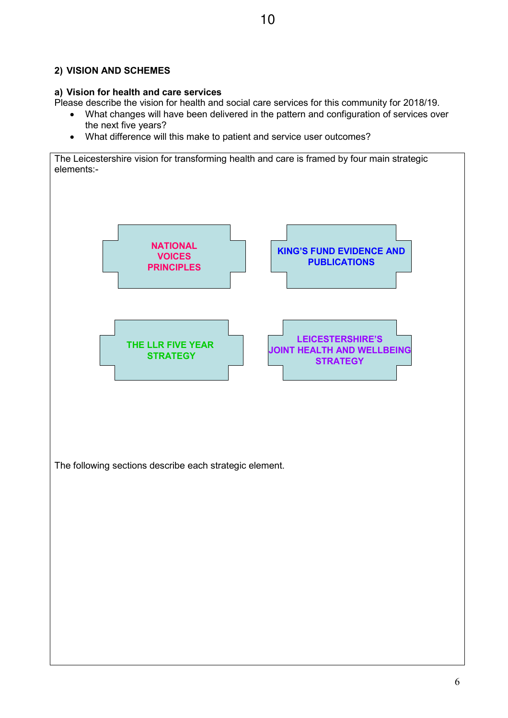#### **2) VISION AND SCHEMES**

#### **a) Vision for health and care services**

Please describe the vision for health and social care services for this community for 2018/19.

- What changes will have been delivered in the pattern and configuration of services over the next five years?
- What difference will this make to patient and service user outcomes?

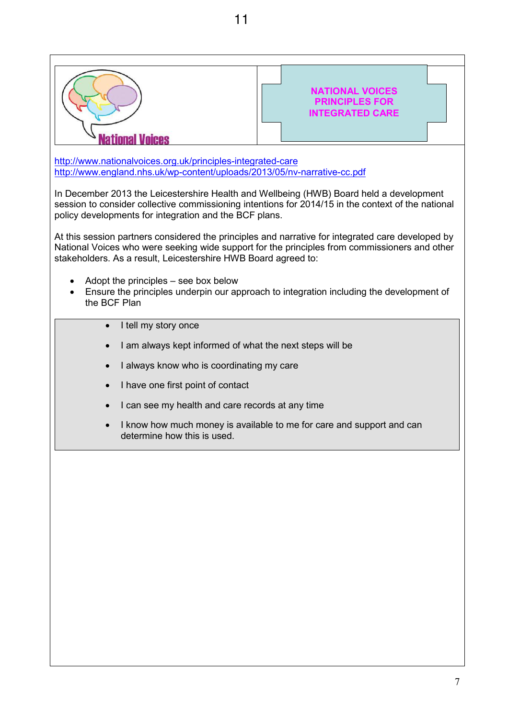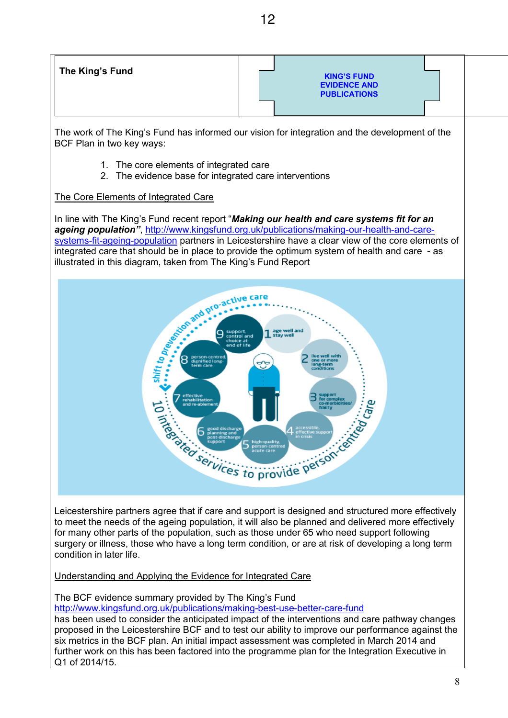12

The work of The King's Fund has informed our vision for integration and the development of the BCF Plan in two key ways:

- 1. The core elements of integrated care
- 2. The evidence base for integrated care interventions

#### The Core Elements of Integrated Care

In line with The King's Fund recent report "*Making our health and care systems fit for an ageing population"*, http://www.kingsfund.org.uk/publications/making-our-health-and-caresystems-fit-ageing-population partners in Leicestershire have a clear view of the core elements of integrated care that should be in place to provide the optimum system of health and care - as illustrated in this diagram, taken from The King's Fund Report



Leicestershire partners agree that if care and support is designed and structured more effectively to meet the needs of the ageing population, it will also be planned and delivered more effectively for many other parts of the population, such as those under 65 who need support following surgery or illness, those who have a long term condition, or are at risk of developing a long term condition in later life.

Understanding and Applying the Evidence for Integrated Care

The BCF evidence summary provided by The King's Fund

http://www.kingsfund.org.uk/publications/making-best-use-better-care-fund

has been used to consider the anticipated impact of the interventions and care pathway changes proposed in the Leicestershire BCF and to test our ability to improve our performance against the six metrics in the BCF plan. An initial impact assessment was completed in March 2014 and further work on this has been factored into the programme plan for the Integration Executive in Q1 of 2014/15.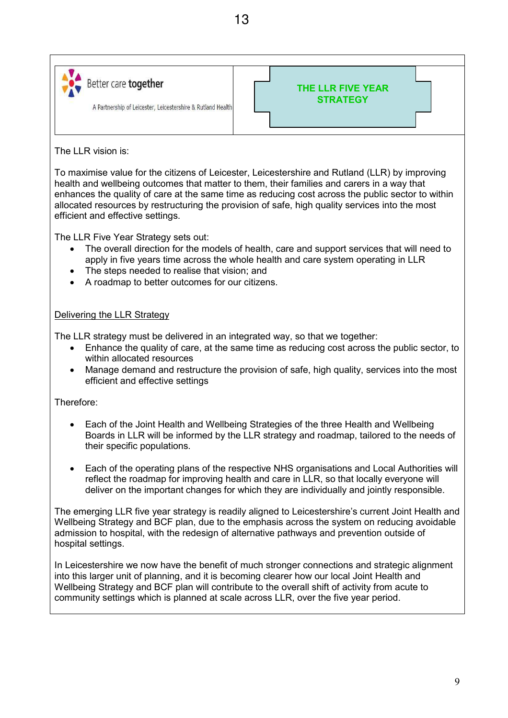



The LLR vision is:

To maximise value for the citizens of Leicester, Leicestershire and Rutland (LLR) by improving health and wellbeing outcomes that matter to them, their families and carers in a way that enhances the quality of care at the same time as reducing cost across the public sector to within allocated resources by restructuring the provision of safe, high quality services into the most efficient and effective settings.

The LLR Five Year Strategy sets out:

- The overall direction for the models of health, care and support services that will need to apply in five years time across the whole health and care system operating in LLR
- The steps needed to realise that vision; and
- A roadmap to better outcomes for our citizens.

#### Delivering the LLR Strategy

The LLR strategy must be delivered in an integrated way, so that we together:

- Enhance the quality of care, at the same time as reducing cost across the public sector, to within allocated resources
- Manage demand and restructure the provision of safe, high quality, services into the most efficient and effective settings

Therefore:

- Each of the Joint Health and Wellbeing Strategies of the three Health and Wellbeing Boards in LLR will be informed by the LLR strategy and roadmap, tailored to the needs of their specific populations.
- Each of the operating plans of the respective NHS organisations and Local Authorities will reflect the roadmap for improving health and care in LLR, so that locally everyone will deliver on the important changes for which they are individually and jointly responsible.

The emerging LLR five year strategy is readily aligned to Leicestershire's current Joint Health and Wellbeing Strategy and BCF plan, due to the emphasis across the system on reducing avoidable admission to hospital, with the redesign of alternative pathways and prevention outside of hospital settings.

In Leicestershire we now have the benefit of much stronger connections and strategic alignment into this larger unit of planning, and it is becoming clearer how our local Joint Health and Wellbeing Strategy and BCF plan will contribute to the overall shift of activity from acute to community settings which is planned at scale across LLR, over the five year period.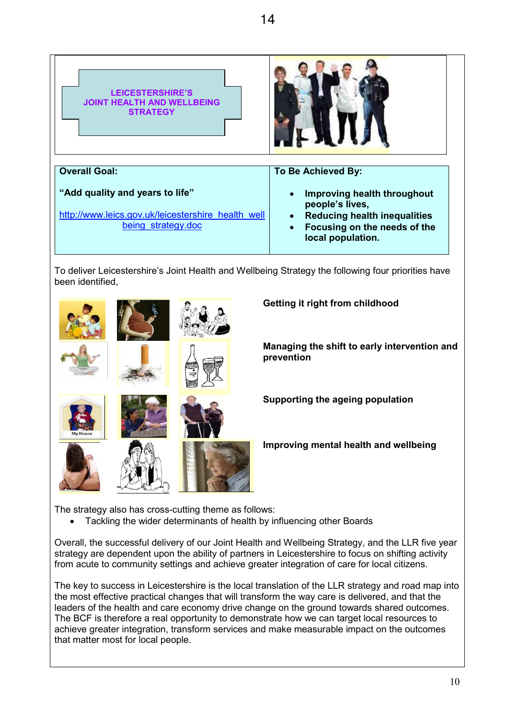

To deliver Leicestershire's Joint Health and Wellbeing Strategy the following four priorities have been identified,



**Getting it right from childhood**

**Managing the shift to early intervention and prevention** 

**Supporting the ageing population**

**Improving mental health and wellbeing**

The strategy also has cross-cutting theme as follows:

• Tackling the wider determinants of health by influencing other Boards

Overall, the successful delivery of our Joint Health and Wellbeing Strategy, and the LLR five year strategy are dependent upon the ability of partners in Leicestershire to focus on shifting activity from acute to community settings and achieve greater integration of care for local citizens.

The key to success in Leicestershire is the local translation of the LLR strategy and road map into the most effective practical changes that will transform the way care is delivered, and that the leaders of the health and care economy drive change on the ground towards shared outcomes. The BCF is therefore a real opportunity to demonstrate how we can target local resources to achieve greater integration, transform services and make measurable impact on the outcomes that matter most for local people.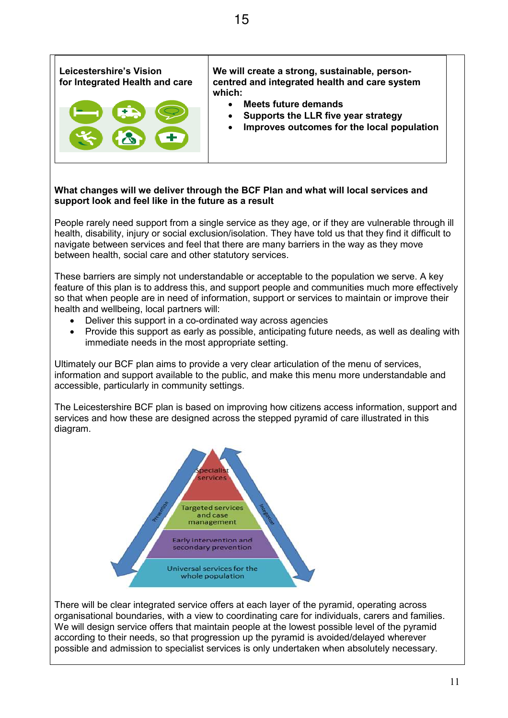

#### **What changes will we deliver through the BCF Plan and what will local services and support look and feel like in the future as a result**

People rarely need support from a single service as they age, or if they are vulnerable through ill health, disability, injury or social exclusion/isolation. They have told us that they find it difficult to navigate between services and feel that there are many barriers in the way as they move between health, social care and other statutory services.

These barriers are simply not understandable or acceptable to the population we serve. A key feature of this plan is to address this, and support people and communities much more effectively so that when people are in need of information, support or services to maintain or improve their health and wellbeing, local partners will:

- Deliver this support in a co-ordinated way across agencies
- Provide this support as early as possible, anticipating future needs, as well as dealing with immediate needs in the most appropriate setting.

Ultimately our BCF plan aims to provide a very clear articulation of the menu of services, information and support available to the public, and make this menu more understandable and accessible, particularly in community settings.

The Leicestershire BCF plan is based on improving how citizens access information, support and services and how these are designed across the stepped pyramid of care illustrated in this diagram.



There will be clear integrated service offers at each layer of the pyramid, operating across organisational boundaries, with a view to coordinating care for individuals, carers and families. We will design service offers that maintain people at the lowest possible level of the pyramid according to their needs, so that progression up the pyramid is avoided/delayed wherever possible and admission to specialist services is only undertaken when absolutely necessary.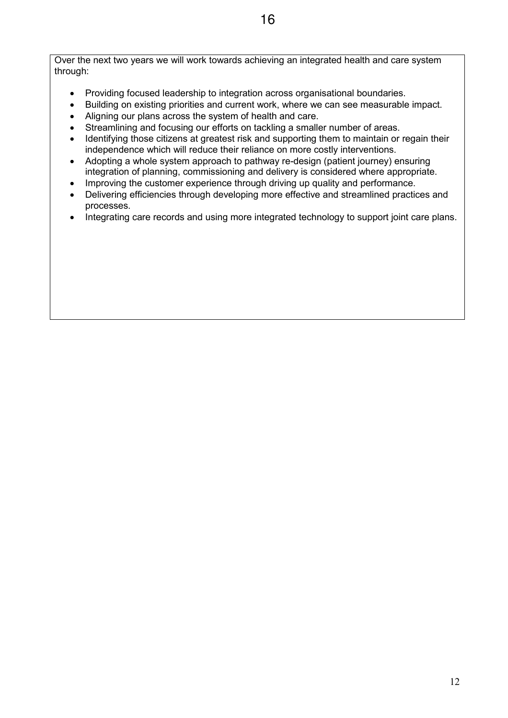Over the next two years we will work towards achieving an integrated health and care system through:

- Providing focused leadership to integration across organisational boundaries.
- Building on existing priorities and current work, where we can see measurable impact.
- Aligning our plans across the system of health and care.
- Streamlining and focusing our efforts on tackling a smaller number of areas.
- Identifying those citizens at greatest risk and supporting them to maintain or regain their independence which will reduce their reliance on more costly interventions.
- Adopting a whole system approach to pathway re-design (patient journey) ensuring integration of planning, commissioning and delivery is considered where appropriate.
- Improving the customer experience through driving up quality and performance.
- Delivering efficiencies through developing more effective and streamlined practices and processes.
- Integrating care records and using more integrated technology to support joint care plans.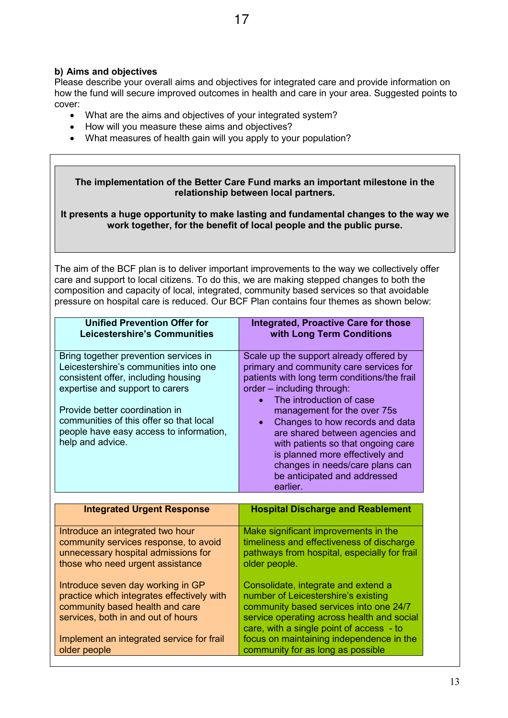## **b) Aims and objectives**

Please describe your overall aims and objectives for integrated care and provide information on how the fund will secure improved outcomes in health and care in your area. Suggested points to cover:

- What are the aims and objectives of your integrated system?
- How will you measure these aims and objectives?
- What measures of health gain will you apply to your population?

| The implementation of the Better Care Fund marks an important milestone in the<br>relationship between local partners.<br>It presents a huge opportunity to make lasting and fundamental changes to the way we<br>work together, for the benefit of local people and the public purse.<br>The aim of the BCF plan is to deliver important improvements to the way we collectively offer<br>care and support to local citizens. To do this, we are making stepped changes to both the<br>composition and capacity of local, integrated, community based services so that avoidable<br>pressure on hospital care is reduced. Our BCF Plan contains four themes as shown below: |                                                                                                                                                                                                                                                                                                                                                                                                                                                                                     |  |  |
|------------------------------------------------------------------------------------------------------------------------------------------------------------------------------------------------------------------------------------------------------------------------------------------------------------------------------------------------------------------------------------------------------------------------------------------------------------------------------------------------------------------------------------------------------------------------------------------------------------------------------------------------------------------------------|-------------------------------------------------------------------------------------------------------------------------------------------------------------------------------------------------------------------------------------------------------------------------------------------------------------------------------------------------------------------------------------------------------------------------------------------------------------------------------------|--|--|
| <b>Unified Prevention Offer for</b><br><b>Leicestershire's Communities</b>                                                                                                                                                                                                                                                                                                                                                                                                                                                                                                                                                                                                   | <b>Integrated, Proactive Care for those</b><br>with Long Term Conditions                                                                                                                                                                                                                                                                                                                                                                                                            |  |  |
| Bring together prevention services in<br>Leicestershire's communities into one<br>consistent offer, including housing<br>expertise and support to carers<br>Provide better coordination in<br>communities of this offer so that local<br>people have easy access to information,<br>help and advice.                                                                                                                                                                                                                                                                                                                                                                         | Scale up the support already offered by<br>primary and community care services for<br>patients with long term conditions/the frail<br>order - including through:<br>The introduction of case<br>$\bullet$<br>management for the over 75s<br>Changes to how records and data<br>$\bullet$<br>are shared between agencies and<br>with patients so that ongoing care<br>is planned more effectively and<br>changes in needs/care plans can<br>be anticipated and addressed<br>earlier. |  |  |
| <b>Integrated Urgent Response</b>                                                                                                                                                                                                                                                                                                                                                                                                                                                                                                                                                                                                                                            | <b>Hospital Discharge and Reablement</b>                                                                                                                                                                                                                                                                                                                                                                                                                                            |  |  |
| Introduce an integrated two hour<br>community services response, to avoid<br>unnecessary hospital admissions for<br>those who need urgent assistance                                                                                                                                                                                                                                                                                                                                                                                                                                                                                                                         | Make significant improvements in the<br>timeliness and effectiveness of discharge<br>pathways from hospital, especially for frail<br>older people.                                                                                                                                                                                                                                                                                                                                  |  |  |
| Introduce seven day working in GP<br>Consolidate, integrate and extend a<br>practice which integrates effectively with<br>number of Leicestershire's existing<br>community based health and care<br>community based services into one 24/7<br>services, both in and out of hours<br>service operating across health and social<br>care, with a single point of access - to                                                                                                                                                                                                                                                                                                   |                                                                                                                                                                                                                                                                                                                                                                                                                                                                                     |  |  |
| focus on maintaining independence in the<br>Implement an integrated service for frail<br>community for as long as possible<br>older people                                                                                                                                                                                                                                                                                                                                                                                                                                                                                                                                   |                                                                                                                                                                                                                                                                                                                                                                                                                                                                                     |  |  |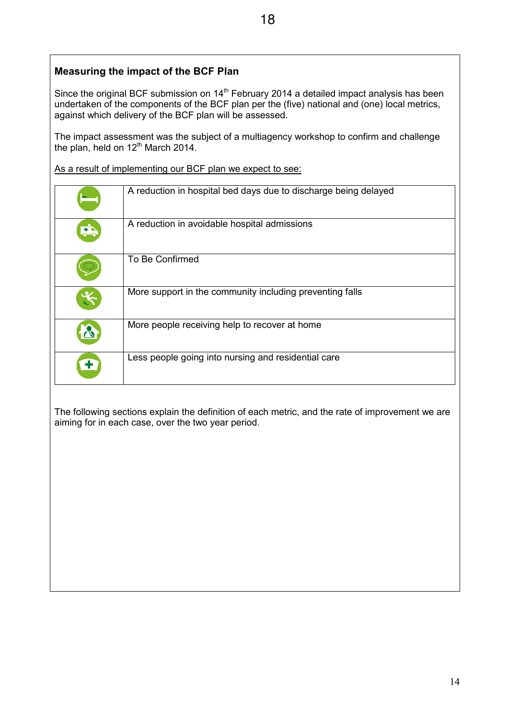## **Measuring the impact of the BCF Plan**

Since the original BCF submission on 14<sup>th</sup> February 2014 a detailed impact analysis has been undertaken of the components of the BCF plan per the (five) national and (one) local metrics, against which delivery of the BCF plan will be assessed.

The impact assessment was the subject of a multiagency workshop to confirm and challenge the plan, held on 12<sup>th</sup> March 2014.

As a result of implementing our BCF plan we expect to see:

|                      | A reduction in hospital bed days due to discharge being delayed |
|----------------------|-----------------------------------------------------------------|
| $\overline{1}$       | A reduction in avoidable hospital admissions                    |
|                      | To Be Confirmed                                                 |
| $\tilde{\mathbf{x}}$ | More support in the community including preventing falls        |
|                      | More people receiving help to recover at home                   |
|                      | Less people going into nursing and residential care             |

The following sections explain the definition of each metric, and the rate of improvement we are aiming for in each case, over the two year period.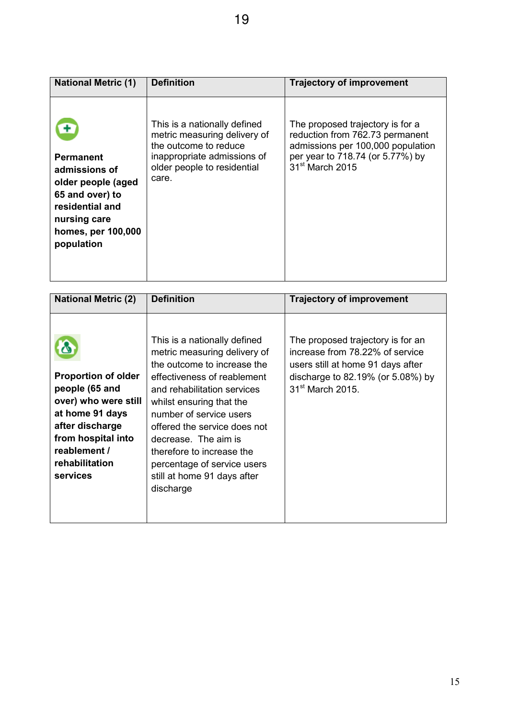| <b>National Metric (1)</b>                                                                                                                        | <b>Definition</b>                                                                                                                                            | <b>Trajectory of improvement</b>                                                                                                                                            |
|---------------------------------------------------------------------------------------------------------------------------------------------------|--------------------------------------------------------------------------------------------------------------------------------------------------------------|-----------------------------------------------------------------------------------------------------------------------------------------------------------------------------|
| <b>Permanent</b><br>admissions of<br>older people (aged<br>65 and over) to<br>residential and<br>nursing care<br>homes, per 100,000<br>population | This is a nationally defined<br>metric measuring delivery of<br>the outcome to reduce<br>inappropriate admissions of<br>older people to residential<br>care. | The proposed trajectory is for a<br>reduction from 762.73 permanent<br>admissions per 100,000 population<br>per year to 718.74 (or 5.77%) by<br>31 <sup>st</sup> March 2015 |

| <b>National Metric (2)</b>                                                                                                                                                     | <b>Definition</b>                                                                                                                                                                                                                                                                                                                                                                | <b>Trajectory of improvement</b>                                                                                                                                               |
|--------------------------------------------------------------------------------------------------------------------------------------------------------------------------------|----------------------------------------------------------------------------------------------------------------------------------------------------------------------------------------------------------------------------------------------------------------------------------------------------------------------------------------------------------------------------------|--------------------------------------------------------------------------------------------------------------------------------------------------------------------------------|
| <b>Proportion of older</b><br>people (65 and<br>over) who were still<br>at home 91 days<br>after discharge<br>from hospital into<br>reablement /<br>rehabilitation<br>services | This is a nationally defined<br>metric measuring delivery of<br>the outcome to increase the<br>effectiveness of reablement<br>and rehabilitation services<br>whilst ensuring that the<br>number of service users<br>offered the service does not<br>decrease. The aim is<br>therefore to increase the<br>percentage of service users<br>still at home 91 days after<br>discharge | The proposed trajectory is for an<br>increase from 78.22% of service<br>users still at home 91 days after<br>discharge to 82.19% (or 5.08%) by<br>31 <sup>st</sup> March 2015. |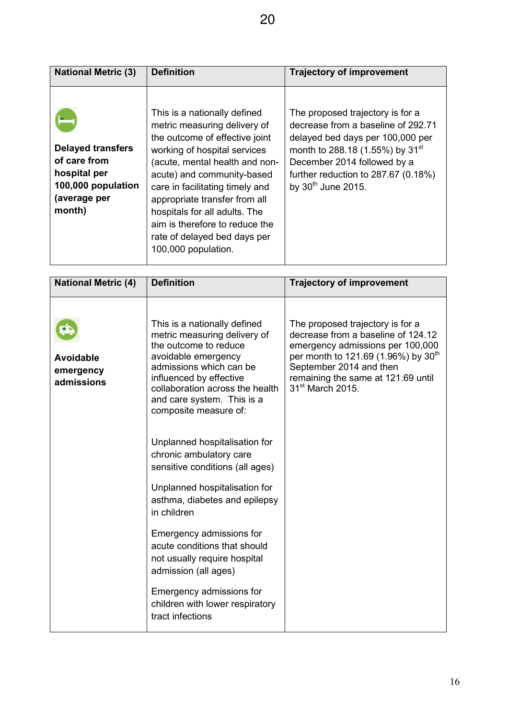| <b>National Metric (3)</b>                                                                               | <b>Definition</b>                                                                                                                                                                                                                                                                                                                                                                            | <b>Trajectory of improvement</b>                                                                                                                                                                                                                                    |
|----------------------------------------------------------------------------------------------------------|----------------------------------------------------------------------------------------------------------------------------------------------------------------------------------------------------------------------------------------------------------------------------------------------------------------------------------------------------------------------------------------------|---------------------------------------------------------------------------------------------------------------------------------------------------------------------------------------------------------------------------------------------------------------------|
| <b>Delayed transfers</b><br>of care from<br>hospital per<br>100,000 population<br>(average per<br>month) | This is a nationally defined<br>metric measuring delivery of<br>the outcome of effective joint<br>working of hospital services<br>(acute, mental health and non-<br>acute) and community-based<br>care in facilitating timely and<br>appropriate transfer from all<br>hospitals for all adults. The<br>aim is therefore to reduce the<br>rate of delayed bed days per<br>100,000 population. | The proposed trajectory is for a<br>decrease from a baseline of 292.71<br>delayed bed days per 100,000 per<br>month to 288.18 (1.55%) by 31 <sup>st</sup><br>December 2014 followed by a<br>further reduction to $287.67$ (0.18%)<br>by 30 <sup>th</sup> June 2015. |

| <b>National Metric (4)</b>                  | <b>Definition</b>                                                                                                                                                                                                                                            | <b>Trajectory of improvement</b>                                                                                                                                                                                                                               |
|---------------------------------------------|--------------------------------------------------------------------------------------------------------------------------------------------------------------------------------------------------------------------------------------------------------------|----------------------------------------------------------------------------------------------------------------------------------------------------------------------------------------------------------------------------------------------------------------|
| <b>Avoidable</b><br>emergency<br>admissions | This is a nationally defined<br>metric measuring delivery of<br>the outcome to reduce<br>avoidable emergency<br>admissions which can be<br>influenced by effective<br>collaboration across the health<br>and care system. This is a<br>composite measure of: | The proposed trajectory is for a<br>decrease from a baseline of 124.12<br>emergency admissions per 100,000<br>per month to 121.69 (1.96%) by 30 <sup>th</sup><br>September 2014 and then<br>remaining the same at 121.69 until<br>31 <sup>st</sup> March 2015. |
|                                             | Unplanned hospitalisation for<br>chronic ambulatory care<br>sensitive conditions (all ages)                                                                                                                                                                  |                                                                                                                                                                                                                                                                |
|                                             | Unplanned hospitalisation for<br>asthma, diabetes and epilepsy<br>in children                                                                                                                                                                                |                                                                                                                                                                                                                                                                |
|                                             | Emergency admissions for<br>acute conditions that should<br>not usually require hospital<br>admission (all ages)                                                                                                                                             |                                                                                                                                                                                                                                                                |
|                                             | Emergency admissions for<br>children with lower respiratory<br>tract infections                                                                                                                                                                              |                                                                                                                                                                                                                                                                |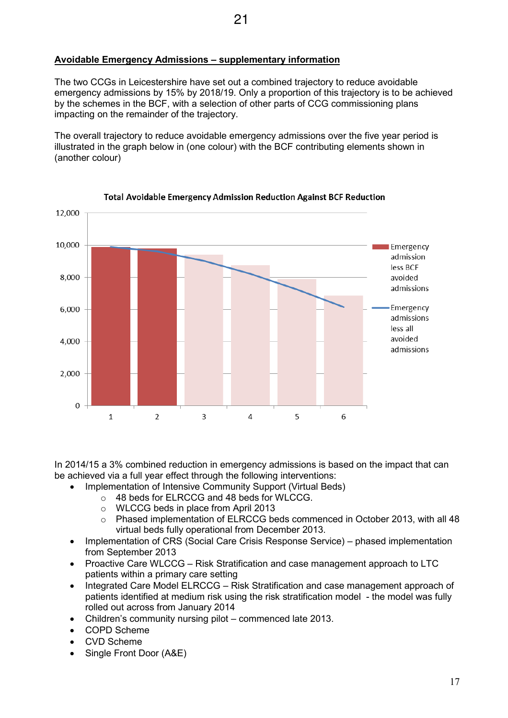## **Avoidable Emergency Admissions – supplementary information**

The two CCGs in Leicestershire have set out a combined trajectory to reduce avoidable emergency admissions by 15% by 2018/19. Only a proportion of this trajectory is to be achieved by the schemes in the BCF, with a selection of other parts of CCG commissioning plans impacting on the remainder of the trajectory.

The overall trajectory to reduce avoidable emergency admissions over the five year period is illustrated in the graph below in (one colour) with the BCF contributing elements shown in (another colour)



#### **Total Avoidable Emergency Admission Reduction Against BCF Reduction**

In 2014/15 a 3% combined reduction in emergency admissions is based on the impact that can be achieved via a full year effect through the following interventions:

- Implementation of Intensive Community Support (Virtual Beds)
	- o 48 beds for ELRCCG and 48 beds for WLCCG.
	- o WLCCG beds in place from April 2013
	- o Phased implementation of ELRCCG beds commenced in October 2013, with all 48 virtual beds fully operational from December 2013.
- Implementation of CRS (Social Care Crisis Response Service) phased implementation from September 2013
- Proactive Care WLCCG Risk Stratification and case management approach to LTC patients within a primary care setting
- Integrated Care Model ELRCCG Risk Stratification and case management approach of patients identified at medium risk using the risk stratification model - the model was fully rolled out across from January 2014
- Children's community nursing pilot commenced late 2013.
- COPD Scheme
- CVD Scheme
- Single Front Door (A&E)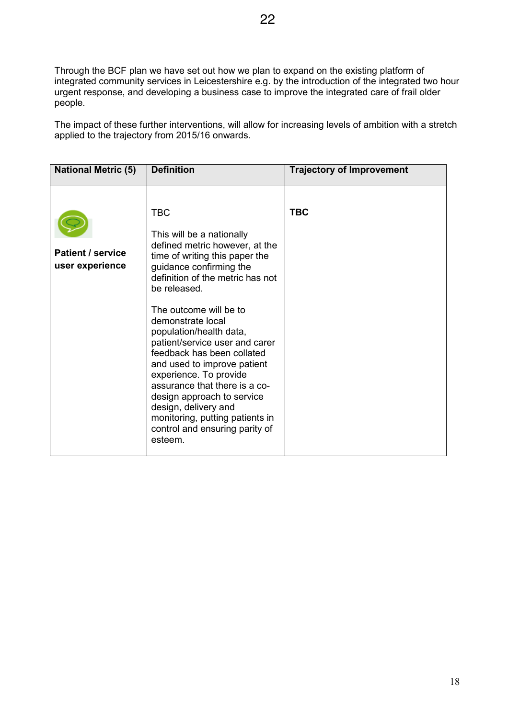Through the BCF plan we have set out how we plan to expand on the existing platform of integrated community services in Leicestershire e.g. by the introduction of the integrated two hour urgent response, and developing a business case to improve the integrated care of frail older people.

The impact of these further interventions, will allow for increasing levels of ambition with a stretch applied to the trajectory from 2015/16 onwards.

| <b>National Metric (5)</b>                  | <b>Definition</b>                                                                                                                                                                                                                                                                                                                                                                                                                                                                                                                                                    | <b>Trajectory of Improvement</b> |
|---------------------------------------------|----------------------------------------------------------------------------------------------------------------------------------------------------------------------------------------------------------------------------------------------------------------------------------------------------------------------------------------------------------------------------------------------------------------------------------------------------------------------------------------------------------------------------------------------------------------------|----------------------------------|
| <b>Patient / service</b><br>user experience | <b>TBC</b><br>This will be a nationally<br>defined metric however, at the<br>time of writing this paper the<br>guidance confirming the<br>definition of the metric has not<br>be released.<br>The outcome will be to<br>demonstrate local<br>population/health data,<br>patient/service user and carer<br>feedback has been collated<br>and used to improve patient<br>experience. To provide<br>assurance that there is a co-<br>design approach to service<br>design, delivery and<br>monitoring, putting patients in<br>control and ensuring parity of<br>esteem. | <b>TBC</b>                       |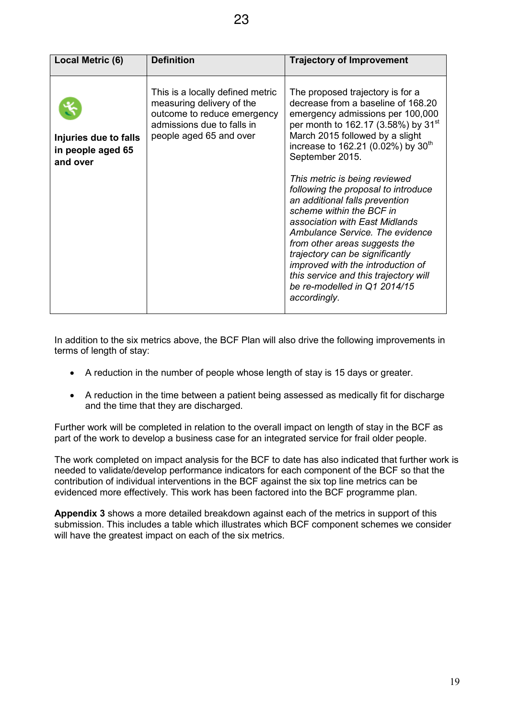| Local Metric (6)                                       | <b>Definition</b>                                                                                                                                     | <b>Trajectory of Improvement</b>                                                                                                                                                                                                                                                                                                                                                                                                                                                                                                                                                                                                                                                   |
|--------------------------------------------------------|-------------------------------------------------------------------------------------------------------------------------------------------------------|------------------------------------------------------------------------------------------------------------------------------------------------------------------------------------------------------------------------------------------------------------------------------------------------------------------------------------------------------------------------------------------------------------------------------------------------------------------------------------------------------------------------------------------------------------------------------------------------------------------------------------------------------------------------------------|
| Injuries due to falls<br>in people aged 65<br>and over | This is a locally defined metric<br>measuring delivery of the<br>outcome to reduce emergency<br>admissions due to falls in<br>people aged 65 and over | The proposed trajectory is for a<br>decrease from a baseline of 168.20<br>emergency admissions per 100,000<br>per month to 162.17 (3.58%) by 31 <sup>st</sup><br>March 2015 followed by a slight<br>increase to 162.21 (0.02%) by 30 <sup>th</sup><br>September 2015.<br>This metric is being reviewed<br>following the proposal to introduce<br>an additional falls prevention<br>scheme within the BCF in<br>association with East Midlands<br>Ambulance Service. The evidence<br>from other areas suggests the<br>trajectory can be significantly<br>improved with the introduction of<br>this service and this trajectory will<br>be re-modelled in Q1 2014/15<br>accordingly. |

In addition to the six metrics above, the BCF Plan will also drive the following improvements in terms of length of stay:

- A reduction in the number of people whose length of stay is 15 days or greater.
- A reduction in the time between a patient being assessed as medically fit for discharge and the time that they are discharged.

Further work will be completed in relation to the overall impact on length of stay in the BCF as part of the work to develop a business case for an integrated service for frail older people.

The work completed on impact analysis for the BCF to date has also indicated that further work is needed to validate/develop performance indicators for each component of the BCF so that the contribution of individual interventions in the BCF against the six top line metrics can be evidenced more effectively. This work has been factored into the BCF programme plan.

**Appendix 3** shows a more detailed breakdown against each of the metrics in support of this submission. This includes a table which illustrates which BCF component schemes we consider will have the greatest impact on each of the six metrics.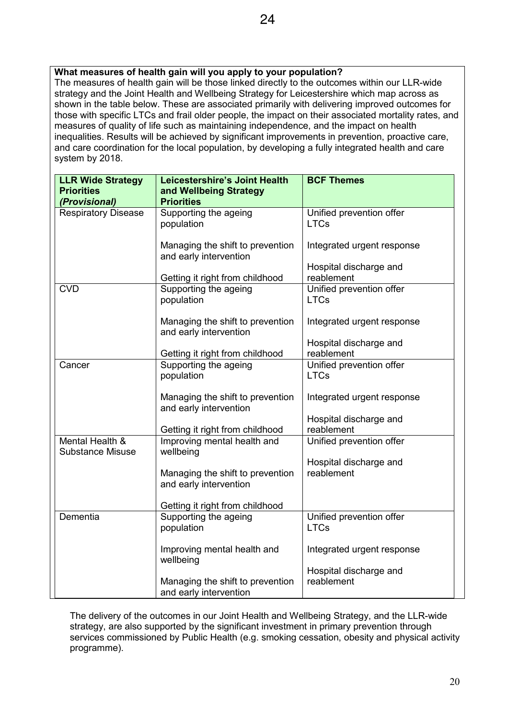## **What measures of health gain will you apply to your population?**

The measures of health gain will be those linked directly to the outcomes within our LLR-wide strategy and the Joint Health and Wellbeing Strategy for Leicestershire which map across as shown in the table below. These are associated primarily with delivering improved outcomes for those with specific LTCs and frail older people, the impact on their associated mortality rates, and measures of quality of life such as maintaining independence, and the impact on health inequalities. Results will be achieved by significant improvements in prevention, proactive care, and care coordination for the local population, by developing a fully integrated health and care system by 2018.

| <b>LLR Wide Strategy</b>                   | <b>Leicestershire's Joint Health</b>                       | <b>BCF Themes</b>                    |
|--------------------------------------------|------------------------------------------------------------|--------------------------------------|
| <b>Priorities</b><br>(Provisional)         | and Wellbeing Strategy<br><b>Priorities</b>                |                                      |
| <b>Respiratory Disease</b>                 | Supporting the ageing                                      | Unified prevention offer             |
|                                            | population                                                 | <b>LTCs</b>                          |
|                                            | Managing the shift to prevention<br>and early intervention | Integrated urgent response           |
|                                            | Getting it right from childhood                            | Hospital discharge and<br>reablement |
| <b>CVD</b>                                 | Supporting the ageing                                      | Unified prevention offer             |
|                                            | population                                                 | <b>LTCs</b>                          |
|                                            | Managing the shift to prevention<br>and early intervention | Integrated urgent response           |
|                                            |                                                            | Hospital discharge and               |
|                                            | Getting it right from childhood                            | reablement                           |
| Cancer                                     | Supporting the ageing                                      | Unified prevention offer             |
|                                            | population                                                 | <b>LTCs</b>                          |
|                                            | Managing the shift to prevention<br>and early intervention | Integrated urgent response           |
|                                            |                                                            | Hospital discharge and               |
|                                            | Getting it right from childhood                            | reablement                           |
| Mental Health &<br><b>Substance Misuse</b> | Improving mental health and<br>wellbeing                   | Unified prevention offer             |
|                                            |                                                            | Hospital discharge and               |
|                                            | Managing the shift to prevention<br>and early intervention | reablement                           |
|                                            | Getting it right from childhood                            |                                      |
| Dementia                                   | Supporting the ageing                                      | Unified prevention offer             |
|                                            | population                                                 | <b>LTCs</b>                          |
|                                            | Improving mental health and<br>wellbeing                   | Integrated urgent response           |
|                                            |                                                            | Hospital discharge and               |
|                                            | Managing the shift to prevention                           | reablement                           |
|                                            | and early intervention                                     |                                      |

The delivery of the outcomes in our Joint Health and Wellbeing Strategy, and the LLR-wide strategy, are also supported by the significant investment in primary prevention through services commissioned by Public Health (e.g. smoking cessation, obesity and physical activity programme).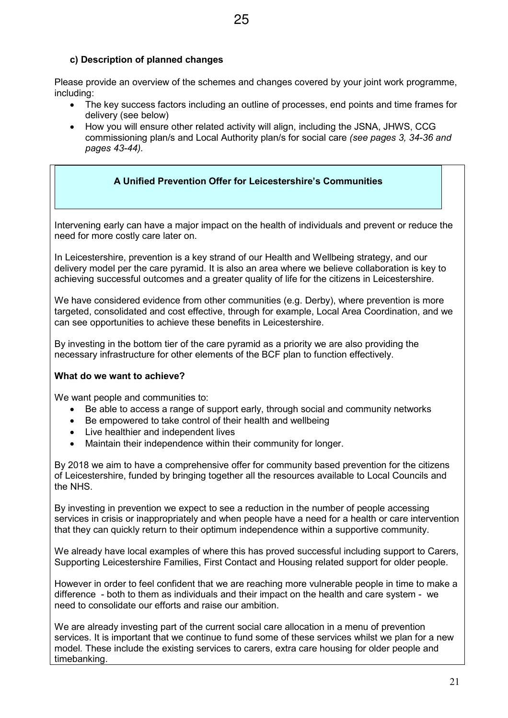## **c) Description of planned changes**

Please provide an overview of the schemes and changes covered by your joint work programme, including:

- The key success factors including an outline of processes, end points and time frames for delivery (see below)
- How you will ensure other related activity will align, including the JSNA, JHWS, CCG commissioning plan/s and Local Authority plan/s for social care *(see pages 3, 34-36 and pages 43-44).*

#### **A Unified Prevention Offer for Leicestershire's Communities**

Intervening early can have a major impact on the health of individuals and prevent or reduce the need for more costly care later on.

In Leicestershire, prevention is a key strand of our Health and Wellbeing strategy, and our delivery model per the care pyramid. It is also an area where we believe collaboration is key to achieving successful outcomes and a greater quality of life for the citizens in Leicestershire.

We have considered evidence from other communities (e.g. Derby), where prevention is more targeted, consolidated and cost effective, through for example, Local Area Coordination, and we can see opportunities to achieve these benefits in Leicestershire.

By investing in the bottom tier of the care pyramid as a priority we are also providing the necessary infrastructure for other elements of the BCF plan to function effectively.

#### **What do we want to achieve?**

We want people and communities to:

- Be able to access a range of support early, through social and community networks
- Be empowered to take control of their health and wellbeing
- Live healthier and independent lives
- Maintain their independence within their community for longer.

By 2018 we aim to have a comprehensive offer for community based prevention for the citizens of Leicestershire, funded by bringing together all the resources available to Local Councils and the NHS.

By investing in prevention we expect to see a reduction in the number of people accessing services in crisis or inappropriately and when people have a need for a health or care intervention that they can quickly return to their optimum independence within a supportive community.

We already have local examples of where this has proved successful including support to Carers, Supporting Leicestershire Families, First Contact and Housing related support for older people.

However in order to feel confident that we are reaching more vulnerable people in time to make a difference - both to them as individuals and their impact on the health and care system - we need to consolidate our efforts and raise our ambition.

We are already investing part of the current social care allocation in a menu of prevention services. It is important that we continue to fund some of these services whilst we plan for a new model*.* These include the existing services to carers, extra care housing for older people and timebanking.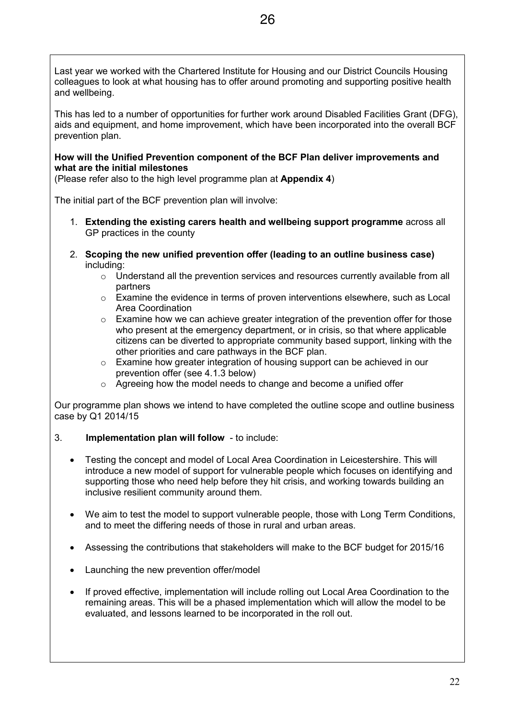Last year we worked with the Chartered Institute for Housing and our District Councils Housing colleagues to look at what housing has to offer around promoting and supporting positive health and wellbeing.

This has led to a number of opportunities for further work around Disabled Facilities Grant (DFG), aids and equipment, and home improvement, which have been incorporated into the overall BCF prevention plan.

#### **How will the Unified Prevention component of the BCF Plan deliver improvements and what are the initial milestones**

(Please refer also to the high level programme plan at **Appendix 4**)

The initial part of the BCF prevention plan will involve:

- 1. **Extending the existing carers health and wellbeing support programme** across all GP practices in the county
- 2. **Scoping the new unified prevention offer (leading to an outline business case)** including:
	- o Understand all the prevention services and resources currently available from all partners
	- $\circ$  Examine the evidence in terms of proven interventions elsewhere, such as Local Area Coordination
	- o Examine how we can achieve greater integration of the prevention offer for those who present at the emergency department, or in crisis, so that where applicable citizens can be diverted to appropriate community based support, linking with the other priorities and care pathways in the BCF plan.
	- $\circ$  Examine how greater integration of housing support can be achieved in our prevention offer (see 4.1.3 below)
	- o Agreeing how the model needs to change and become a unified offer

Our programme plan shows we intend to have completed the outline scope and outline business case by Q1 2014/15

- 3. **Implementation plan will follow** to include:
	- Testing the concept and model of Local Area Coordination in Leicestershire. This will introduce a new model of support for vulnerable people which focuses on identifying and supporting those who need help before they hit crisis, and working towards building an inclusive resilient community around them.
	- We aim to test the model to support vulnerable people, those with Long Term Conditions, and to meet the differing needs of those in rural and urban areas.
	- Assessing the contributions that stakeholders will make to the BCF budget for 2015/16
	- Launching the new prevention offer/model
	- If proved effective, implementation will include rolling out Local Area Coordination to the remaining areas. This will be a phased implementation which will allow the model to be evaluated, and lessons learned to be incorporated in the roll out.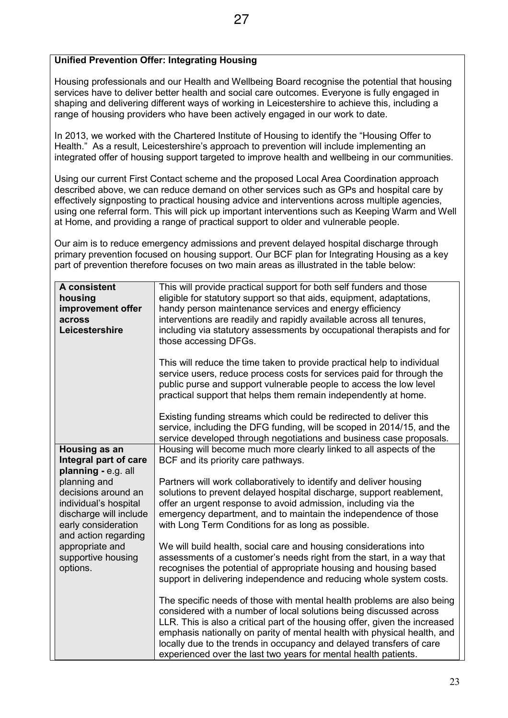## **Unified Prevention Offer: Integrating Housing**

Housing professionals and our Health and Wellbeing Board recognise the potential that housing services have to deliver better health and social care outcomes. Everyone is fully engaged in shaping and delivering different ways of working in Leicestershire to achieve this, including a range of housing providers who have been actively engaged in our work to date.

In 2013, we worked with the Chartered Institute of Housing to identify the "Housing Offer to Health." As a result, Leicestershire's approach to prevention will include implementing an integrated offer of housing support targeted to improve health and wellbeing in our communities.

Using our current First Contact scheme and the proposed Local Area Coordination approach described above, we can reduce demand on other services such as GPs and hospital care by effectively signposting to practical housing advice and interventions across multiple agencies, using one referral form. This will pick up important interventions such as Keeping Warm and Well at Home, and providing a range of practical support to older and vulnerable people.

Our aim is to reduce emergency admissions and prevent delayed hospital discharge through primary prevention focused on housing support. Our BCF plan for Integrating Housing as a key part of prevention therefore focuses on two main areas as illustrated in the table below:

| A consistent<br>housing<br>improvement offer<br>across<br>Leicestershire                       | This will provide practical support for both self funders and those<br>eligible for statutory support so that aids, equipment, adaptations,<br>handy person maintenance services and energy efficiency<br>interventions are readily and rapidly available across all tenures,<br>including via statutory assessments by occupational therapists and for<br>those accessing DFGs. |
|------------------------------------------------------------------------------------------------|----------------------------------------------------------------------------------------------------------------------------------------------------------------------------------------------------------------------------------------------------------------------------------------------------------------------------------------------------------------------------------|
|                                                                                                | This will reduce the time taken to provide practical help to individual<br>service users, reduce process costs for services paid for through the<br>public purse and support vulnerable people to access the low level<br>practical support that helps them remain independently at home.                                                                                        |
|                                                                                                | Existing funding streams which could be redirected to deliver this<br>service, including the DFG funding, will be scoped in 2014/15, and the<br>service developed through negotiations and business case proposals.                                                                                                                                                              |
| Housing as an                                                                                  | Housing will become much more clearly linked to all aspects of the                                                                                                                                                                                                                                                                                                               |
| Integral part of care<br>planning - e.g. all                                                   | BCF and its priority care pathways.                                                                                                                                                                                                                                                                                                                                              |
| planning and                                                                                   | Partners will work collaboratively to identify and deliver housing                                                                                                                                                                                                                                                                                                               |
| decisions around an                                                                            | solutions to prevent delayed hospital discharge, support reablement,                                                                                                                                                                                                                                                                                                             |
| individual's hospital<br>discharge will include<br>early consideration<br>and action regarding | offer an urgent response to avoid admission, including via the<br>emergency department, and to maintain the independence of those<br>with Long Term Conditions for as long as possible.                                                                                                                                                                                          |
| appropriate and                                                                                | We will build health, social care and housing considerations into                                                                                                                                                                                                                                                                                                                |
| supportive housing                                                                             | assessments of a customer's needs right from the start, in a way that                                                                                                                                                                                                                                                                                                            |
| options.                                                                                       | recognises the potential of appropriate housing and housing based<br>support in delivering independence and reducing whole system costs.                                                                                                                                                                                                                                         |
|                                                                                                | The specific needs of those with mental health problems are also being<br>considered with a number of local solutions being discussed across                                                                                                                                                                                                                                     |
|                                                                                                | LLR. This is also a critical part of the housing offer, given the increased                                                                                                                                                                                                                                                                                                      |
|                                                                                                | emphasis nationally on parity of mental health with physical health, and<br>locally due to the trends in occupancy and delayed transfers of care<br>experienced over the last two years for mental health patients.                                                                                                                                                              |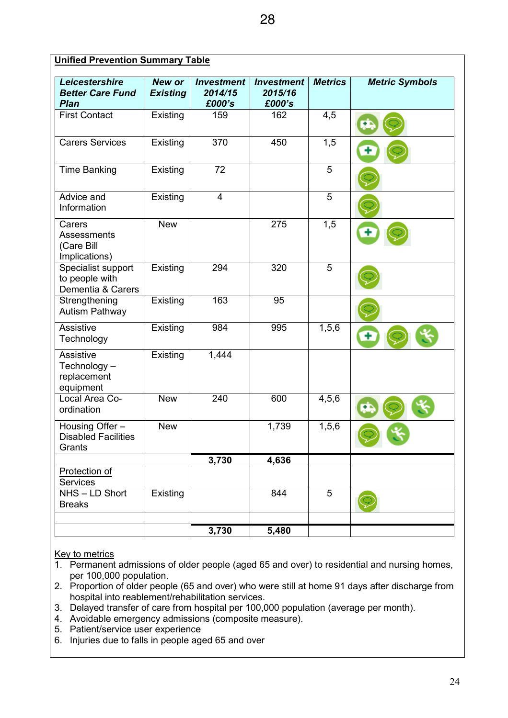| <b>Unified Prevention Summary Table</b>                     |                                  |                                        |                                        |                |                       |  |  |
|-------------------------------------------------------------|----------------------------------|----------------------------------------|----------------------------------------|----------------|-----------------------|--|--|
| Leicestershire<br><b>Better Care Fund</b><br><b>Plan</b>    | <b>New or</b><br><b>Existing</b> | <b>Investment</b><br>2014/15<br>£000's | <b>Investment</b><br>2015/16<br>£000's | <b>Metrics</b> | <b>Metric Symbols</b> |  |  |
| <b>First Contact</b>                                        | Existing                         | 159                                    | 162                                    | 4,5            |                       |  |  |
| <b>Carers Services</b>                                      | Existing                         | 370                                    | 450                                    | 1,5            |                       |  |  |
| <b>Time Banking</b>                                         | Existing                         | 72                                     |                                        | 5              |                       |  |  |
| Advice and<br>Information                                   | Existing                         | $\overline{4}$                         |                                        | 5              |                       |  |  |
| Carers<br><b>Assessments</b><br>(Care Bill<br>Implications) | <b>New</b>                       |                                        | 275                                    | 1,5            |                       |  |  |
| Specialist support<br>to people with<br>Dementia & Carers   | Existing                         | 294                                    | 320                                    | 5              |                       |  |  |
| Strengthening<br><b>Autism Pathway</b>                      | Existing                         | 163                                    | 95                                     |                |                       |  |  |
| Assistive<br>Technology                                     | Existing                         | 984                                    | 995                                    | 1, 5, 6        |                       |  |  |
| Assistive<br>Technology-<br>replacement<br>equipment        | Existing                         | 1,444                                  |                                        |                |                       |  |  |
| Local Area Co-<br>ordination                                | <b>New</b>                       | 240                                    | 600                                    | 4, 5, 6        |                       |  |  |
| Housing Offer -<br><b>Disabled Facilities</b><br>Grants     | <b>New</b>                       |                                        | 1,739                                  | 1, 5, 6        |                       |  |  |
|                                                             |                                  | 3,730                                  | 4,636                                  |                |                       |  |  |
| Protection of<br><b>Services</b>                            |                                  |                                        |                                        |                |                       |  |  |
| NHS-LD Short<br><b>Breaks</b>                               | Existing                         |                                        | 844                                    | 5              |                       |  |  |
|                                                             |                                  | 3,730                                  | 5,480                                  |                |                       |  |  |

#### Key to metrics

- 1. Permanent admissions of older people (aged 65 and over) to residential and nursing homes, per 100,000 population.
- 2. Proportion of older people (65 and over) who were still at home 91 days after discharge from hospital into reablement/rehabilitation services.
- 3. Delayed transfer of care from hospital per 100,000 population (average per month).
- 4. Avoidable emergency admissions (composite measure).
- 5. Patient/service user experience
- 6. Injuries due to falls in people aged 65 and over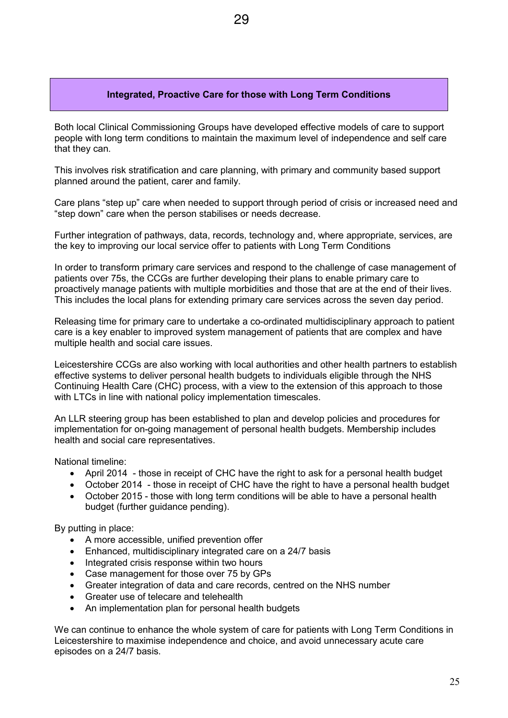#### **Integrated, Proactive Care for those with Long Term Conditions**

Both local Clinical Commissioning Groups have developed effective models of care to support people with long term conditions to maintain the maximum level of independence and self care that they can.

This involves risk stratification and care planning, with primary and community based support planned around the patient, carer and family.

Care plans "step up" care when needed to support through period of crisis or increased need and "step down" care when the person stabilises or needs decrease.

Further integration of pathways, data, records, technology and, where appropriate, services, are the key to improving our local service offer to patients with Long Term Conditions

In order to transform primary care services and respond to the challenge of case management of patients over 75s, the CCGs are further developing their plans to enable primary care to proactively manage patients with multiple morbidities and those that are at the end of their lives. This includes the local plans for extending primary care services across the seven day period.

Releasing time for primary care to undertake a co-ordinated multidisciplinary approach to patient care is a key enabler to improved system management of patients that are complex and have multiple health and social care issues.

Leicestershire CCGs are also working with local authorities and other health partners to establish effective systems to deliver personal health budgets to individuals eligible through the NHS Continuing Health Care (CHC) process, with a view to the extension of this approach to those with LTCs in line with national policy implementation timescales.

An LLR steering group has been established to plan and develop policies and procedures for implementation for on-going management of personal health budgets. Membership includes health and social care representatives.

National timeline:

- April 2014 those in receipt of CHC have the right to ask for a personal health budget
- October 2014 those in receipt of CHC have the right to have a personal health budget
- October 2015 those with long term conditions will be able to have a personal health budget (further guidance pending).

By putting in place:

- A more accessible, unified prevention offer
- Enhanced, multidisciplinary integrated care on a 24/7 basis
- Integrated crisis response within two hours
- Case management for those over 75 by GPs
- Greater integration of data and care records, centred on the NHS number
- Greater use of telecare and telehealth
- An implementation plan for personal health budgets

We can continue to enhance the whole system of care for patients with Long Term Conditions in Leicestershire to maximise independence and choice, and avoid unnecessary acute care episodes on a 24/7 basis.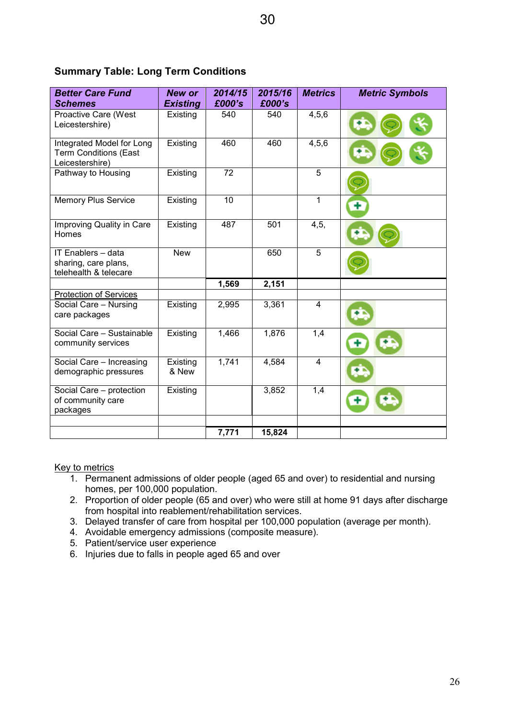## **Summary Table: Long Term Conditions**

| <b>Better Care Fund</b><br><b>Schemes</b>                                    | New or<br><b>Existing</b> | 2014/15<br>£000's | 2015/16<br>£000's | <b>Metrics</b> | <b>Metric Symbols</b> |
|------------------------------------------------------------------------------|---------------------------|-------------------|-------------------|----------------|-----------------------|
| Proactive Care (West<br>Leicestershire)                                      | Existing                  | 540               | 540               | 4, 5, 6        |                       |
| Integrated Model for Long<br><b>Term Conditions (East</b><br>Leicestershire) | Existing                  | 460               | 460               | 4, 5, 6        |                       |
| Pathway to Housing                                                           | Existing                  | 72                |                   | 5              |                       |
| <b>Memory Plus Service</b>                                                   | Existing                  | 10                |                   | $\mathbf{1}$   |                       |
| Improving Quality in Care<br>Homes                                           | Existing                  | 487               | 501               | 4,5,           |                       |
| IT Enablers - data<br>sharing, care plans,<br>telehealth & telecare          | <b>New</b>                |                   | 650               | 5              |                       |
|                                                                              |                           | 1,569             | 2,151             |                |                       |
| <b>Protection of Services</b>                                                |                           |                   |                   |                |                       |
| Social Care - Nursing<br>care packages                                       | Existing                  | 2,995             | 3,361             | $\overline{4}$ |                       |
| Social Care - Sustainable<br>community services                              | Existing                  | 1,466             | 1,876             | 1,4            |                       |
| Social Care - Increasing<br>demographic pressures                            | Existing<br>& New         | 1,741             | 4,584             | $\overline{4}$ |                       |
| Social Care - protection<br>of community care<br>packages                    | Existing                  |                   | 3,852             | 1,4            |                       |
|                                                                              |                           |                   |                   |                |                       |
|                                                                              |                           | 7,771             | 15,824            |                |                       |

Key to metrics

- 1. Permanent admissions of older people (aged 65 and over) to residential and nursing homes, per 100,000 population.
- 2. Proportion of older people (65 and over) who were still at home 91 days after discharge from hospital into reablement/rehabilitation services.
- 3. Delayed transfer of care from hospital per 100,000 population (average per month).
- 4. Avoidable emergency admissions (composite measure).
- 5. Patient/service user experience
- 6. Injuries due to falls in people aged 65 and over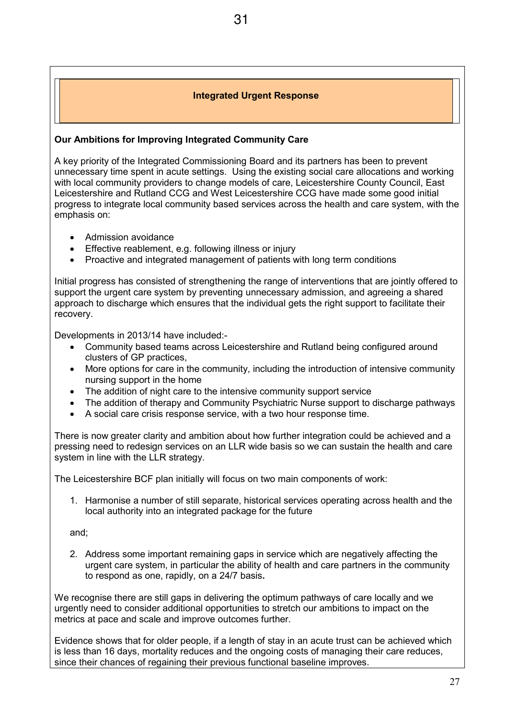#### **Integrated Urgent Response**

31

#### **Our Ambitions for Improving Integrated Community Care**

A key priority of the Integrated Commissioning Board and its partners has been to prevent unnecessary time spent in acute settings. Using the existing social care allocations and working with local community providers to change models of care, Leicestershire County Council, East Leicestershire and Rutland CCG and West Leicestershire CCG have made some good initial progress to integrate local community based services across the health and care system, with the emphasis on:

- Admission avoidance
- Effective reablement, e.g. following illness or injury
- Proactive and integrated management of patients with long term conditions

Initial progress has consisted of strengthening the range of interventions that are jointly offered to support the urgent care system by preventing unnecessary admission, and agreeing a shared approach to discharge which ensures that the individual gets the right support to facilitate their recovery.

Developments in 2013/14 have included:-

- Community based teams across Leicestershire and Rutland being configured around clusters of GP practices,
- More options for care in the community, including the introduction of intensive community nursing support in the home
- The addition of night care to the intensive community support service
- The addition of therapy and Community Psychiatric Nurse support to discharge pathways
- A social care crisis response service, with a two hour response time.

There is now greater clarity and ambition about how further integration could be achieved and a pressing need to redesign services on an LLR wide basis so we can sustain the health and care system in line with the LLR strategy.

The Leicestershire BCF plan initially will focus on two main components of work:

1. Harmonise a number of still separate, historical services operating across health and the local authority into an integrated package for the future

and;

2. Address some important remaining gaps in service which are negatively affecting the urgent care system, in particular the ability of health and care partners in the community to respond as one, rapidly, on a 24/7 basis**.**

We recognise there are still gaps in delivering the optimum pathways of care locally and we urgently need to consider additional opportunities to stretch our ambitions to impact on the metrics at pace and scale and improve outcomes further.

Evidence shows that for older people, if a length of stay in an acute trust can be achieved which is less than 16 days, mortality reduces and the ongoing costs of managing their care reduces, since their chances of regaining their previous functional baseline improves.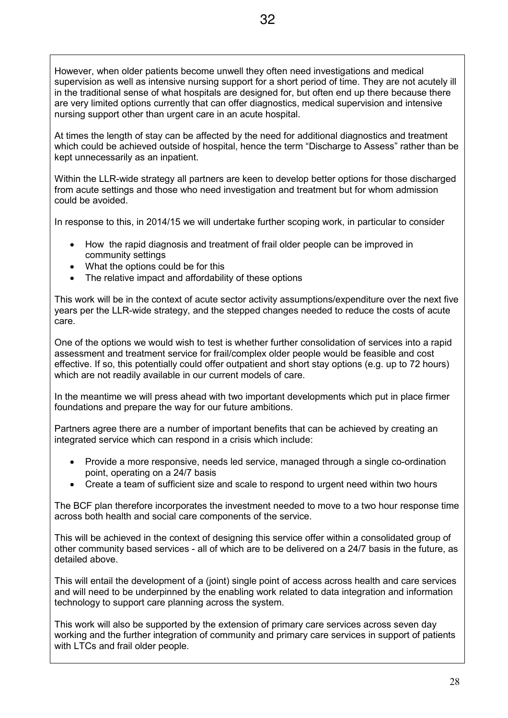However, when older patients become unwell they often need investigations and medical supervision as well as intensive nursing support for a short period of time. They are not acutely ill in the traditional sense of what hospitals are designed for, but often end up there because there are very limited options currently that can offer diagnostics, medical supervision and intensive nursing support other than urgent care in an acute hospital.

At times the length of stay can be affected by the need for additional diagnostics and treatment which could be achieved outside of hospital, hence the term "Discharge to Assess" rather than be kept unnecessarily as an inpatient.

Within the LLR-wide strategy all partners are keen to develop better options for those discharged from acute settings and those who need investigation and treatment but for whom admission could be avoided.

In response to this, in 2014/15 we will undertake further scoping work, in particular to consider

- How the rapid diagnosis and treatment of frail older people can be improved in community settings
- What the options could be for this
- The relative impact and affordability of these options

This work will be in the context of acute sector activity assumptions/expenditure over the next five years per the LLR-wide strategy, and the stepped changes needed to reduce the costs of acute care.

One of the options we would wish to test is whether further consolidation of services into a rapid assessment and treatment service for frail/complex older people would be feasible and cost effective. If so, this potentially could offer outpatient and short stay options (e.g. up to 72 hours) which are not readily available in our current models of care.

In the meantime we will press ahead with two important developments which put in place firmer foundations and prepare the way for our future ambitions.

Partners agree there are a number of important benefits that can be achieved by creating an integrated service which can respond in a crisis which include:

- Provide a more responsive, needs led service, managed through a single co-ordination point, operating on a 24/7 basis
- Create a team of sufficient size and scale to respond to urgent need within two hours

The BCF plan therefore incorporates the investment needed to move to a two hour response time across both health and social care components of the service.

This will be achieved in the context of designing this service offer within a consolidated group of other community based services - all of which are to be delivered on a 24/7 basis in the future, as detailed above.

This will entail the development of a (joint) single point of access across health and care services and will need to be underpinned by the enabling work related to data integration and information technology to support care planning across the system.

This work will also be supported by the extension of primary care services across seven day working and the further integration of community and primary care services in support of patients with LTCs and frail older people.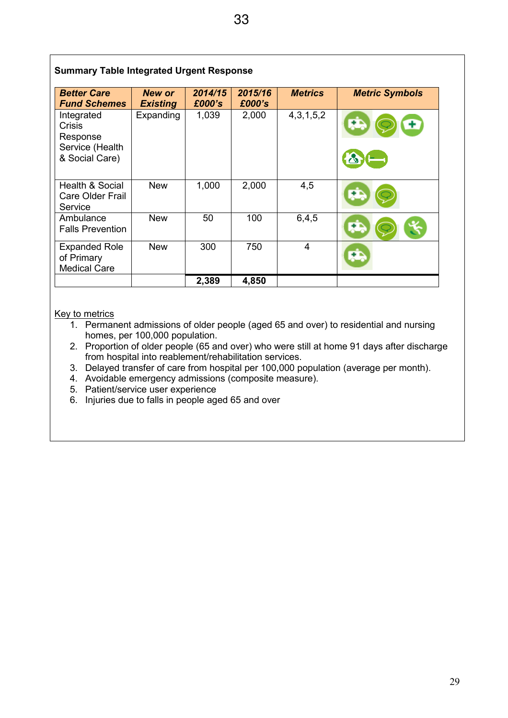## **Summary Table Integrated Urgent Response**

| <b>Better Care</b><br><b>Fund Schemes</b>                             | <b>New or</b><br><b>Existing</b> | 2014/15<br>£000's | 2015/16<br>£000's | <b>Metrics</b> | <b>Metric Symbols</b>  |
|-----------------------------------------------------------------------|----------------------------------|-------------------|-------------------|----------------|------------------------|
| Integrated<br>Crisis<br>Response<br>Service (Health<br>& Social Care) | Expanding                        | 1,039             | 2,000             | 4,3,1,5,2      | æ<br>$\mathbf{\Omega}$ |
| Health & Social<br>Care Older Frail<br>Service                        | <b>New</b>                       | 1,000             | 2,000             | 4,5            |                        |
| Ambulance<br><b>Falls Prevention</b>                                  | <b>New</b>                       | 50                | 100               | 6,4,5          |                        |
| <b>Expanded Role</b><br>of Primary<br><b>Medical Care</b>             | <b>New</b>                       | 300               | 750               | $\overline{4}$ | æ                      |
|                                                                       |                                  | 2,389             | 4,850             |                |                        |

#### Key to metrics

- 1. Permanent admissions of older people (aged 65 and over) to residential and nursing homes, per 100,000 population.
- 2. Proportion of older people (65 and over) who were still at home 91 days after discharge from hospital into reablement/rehabilitation services.
- 3. Delayed transfer of care from hospital per 100,000 population (average per month).
- 4. Avoidable emergency admissions (composite measure).
- 5. Patient/service user experience
- 6. Injuries due to falls in people aged 65 and over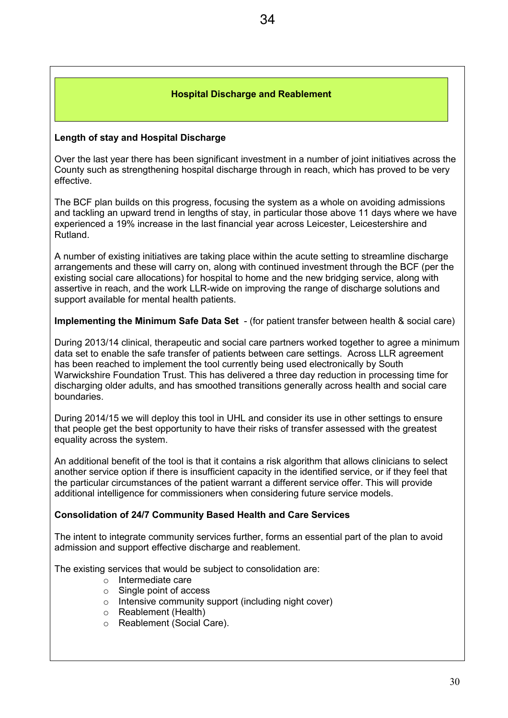#### **Hospital Discharge and Reablement**

#### **Length of stay and Hospital Discharge**

Over the last year there has been significant investment in a number of joint initiatives across the County such as strengthening hospital discharge through in reach, which has proved to be very effective.

The BCF plan builds on this progress, focusing the system as a whole on avoiding admissions and tackling an upward trend in lengths of stay, in particular those above 11 days where we have experienced a 19% increase in the last financial year across Leicester, Leicestershire and Rutland.

A number of existing initiatives are taking place within the acute setting to streamline discharge arrangements and these will carry on, along with continued investment through the BCF (per the existing social care allocations) for hospital to home and the new bridging service, along with assertive in reach, and the work LLR-wide on improving the range of discharge solutions and support available for mental health patients.

**Implementing the Minimum Safe Data Set** - (for patient transfer between health & social care)

During 2013/14 clinical, therapeutic and social care partners worked together to agree a minimum data set to enable the safe transfer of patients between care settings. Across LLR agreement has been reached to implement the tool currently being used electronically by South Warwickshire Foundation Trust. This has delivered a three day reduction in processing time for discharging older adults, and has smoothed transitions generally across health and social care boundaries.

During 2014/15 we will deploy this tool in UHL and consider its use in other settings to ensure that people get the best opportunity to have their risks of transfer assessed with the greatest equality across the system.

An additional benefit of the tool is that it contains a risk algorithm that allows clinicians to select another service option if there is insufficient capacity in the identified service, or if they feel that the particular circumstances of the patient warrant a different service offer. This will provide additional intelligence for commissioners when considering future service models.

#### **Consolidation of 24/7 Community Based Health and Care Services**

The intent to integrate community services further, forms an essential part of the plan to avoid admission and support effective discharge and reablement.

The existing services that would be subject to consolidation are:

- o Intermediate care
- o Single point of access
- o Intensive community support (including night cover)
- o Reablement (Health)
- o Reablement (Social Care).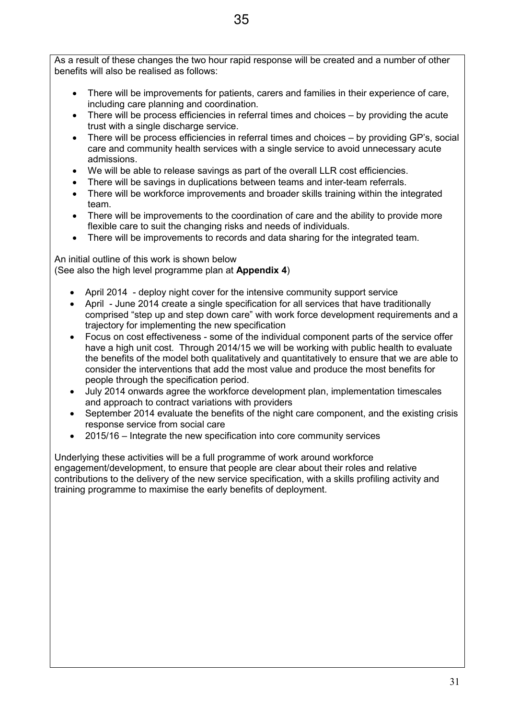As a result of these changes the two hour rapid response will be created and a number of other benefits will also be realised as follows:

- There will be improvements for patients, carers and families in their experience of care, including care planning and coordination.
- There will be process efficiencies in referral times and choices by providing the acute trust with a single discharge service.
- There will be process efficiencies in referral times and choices by providing GP's, social care and community health services with a single service to avoid unnecessary acute admissions.
- We will be able to release savings as part of the overall LLR cost efficiencies.
- There will be savings in duplications between teams and inter-team referrals.
- There will be workforce improvements and broader skills training within the integrated team.
- There will be improvements to the coordination of care and the ability to provide more flexible care to suit the changing risks and needs of individuals.
- There will be improvements to records and data sharing for the integrated team.

An initial outline of this work is shown below (See also the high level programme plan at **Appendix 4**)

- April 2014 deploy night cover for the intensive community support service
- April June 2014 create a single specification for all services that have traditionally comprised "step up and step down care" with work force development requirements and a trajectory for implementing the new specification
- Focus on cost effectiveness some of the individual component parts of the service offer have a high unit cost. Through 2014/15 we will be working with public health to evaluate the benefits of the model both qualitatively and quantitatively to ensure that we are able to consider the interventions that add the most value and produce the most benefits for people through the specification period.
- July 2014 onwards agree the workforce development plan, implementation timescales and approach to contract variations with providers
- September 2014 evaluate the benefits of the night care component, and the existing crisis response service from social care
- 2015/16 Integrate the new specification into core community services

Underlying these activities will be a full programme of work around workforce engagement/development, to ensure that people are clear about their roles and relative contributions to the delivery of the new service specification, with a skills profiling activity and training programme to maximise the early benefits of deployment.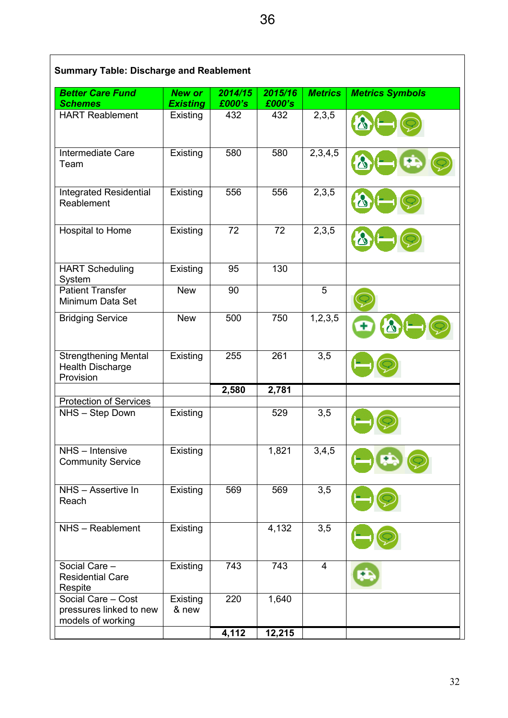| <b>Better Care Fund</b>                                             | <b>New or</b>               | 2014/15       | 2015/16       | <b>Metrics</b>    | <b>Metrics Symbols</b> |
|---------------------------------------------------------------------|-----------------------------|---------------|---------------|-------------------|------------------------|
| <b>Schemes</b><br><b>HART Reablement</b>                            | <b>Existing</b><br>Existing | £000's<br>432 | £000's<br>432 | 2,3,5             |                        |
|                                                                     |                             |               |               |                   |                        |
| Intermediate Care<br>Team                                           | Existing                    | 580           | 580           | 2,3,4,5           |                        |
| <b>Integrated Residential</b><br>Reablement                         | Existing                    | 556           | 556           | 2,3,5             | $\mathcal{O}$          |
| Hospital to Home                                                    | Existing                    | 72            | 72            | 2,3,5             | 心                      |
| <b>HART Scheduling</b><br>System                                    | Existing                    | 95            | 130           |                   |                        |
| <b>Patient Transfer</b><br>Minimum Data Set                         | <b>New</b>                  | 90            |               | 5                 |                        |
| <b>Bridging Service</b>                                             | <b>New</b>                  | 500           | 750           | 1, 2, 3, 5        |                        |
| <b>Strengthening Mental</b><br><b>Health Discharge</b><br>Provision | Existing                    | 255           | 261           | $\overline{3}, 5$ |                        |
|                                                                     |                             | 2,580         | 2,781         |                   |                        |
| <b>Protection of Services</b>                                       |                             |               |               |                   |                        |
| NHS - Step Down                                                     | Existing                    |               | 529           | 3,5               |                        |
| NHS - Intensive<br><b>Community Service</b>                         | Existing                    |               | 1,821         | 3,4,5             |                        |
| NHS - Assertive In<br>Reach                                         | Existing                    | 569           | 569           | 3,5               |                        |
| NHS - Reablement                                                    | Existing                    |               | 4,132         | 3,5               |                        |
| Social Care -<br><b>Residential Care</b><br>Respite                 | Existing                    | 743           | 743           | $\overline{4}$    |                        |
| Social Care - Cost<br>pressures linked to new<br>models of working  | Existing<br>& new           | 220           | 1,640         |                   |                        |
|                                                                     |                             | 4,112         | 12,215        |                   |                        |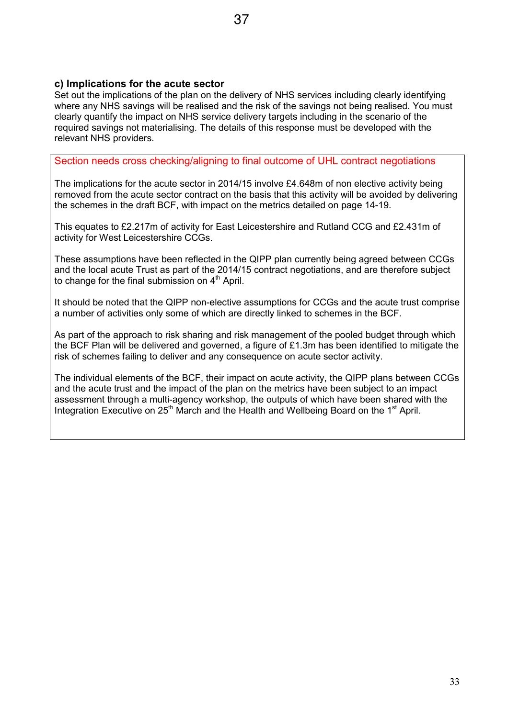### **c) Implications for the acute sector**

Set out the implications of the plan on the delivery of NHS services including clearly identifying where any NHS savings will be realised and the risk of the savings not being realised. You must clearly quantify the impact on NHS service delivery targets including in the scenario of the required savings not materialising. The details of this response must be developed with the relevant NHS providers.

## Section needs cross checking/aligning to final outcome of UHL contract negotiations

The implications for the acute sector in 2014/15 involve £4.648m of non elective activity being removed from the acute sector contract on the basis that this activity will be avoided by delivering the schemes in the draft BCF, with impact on the metrics detailed on page 14-19.

This equates to £2.217m of activity for East Leicestershire and Rutland CCG and £2.431m of activity for West Leicestershire CCGs.

These assumptions have been reflected in the QIPP plan currently being agreed between CCGs and the local acute Trust as part of the 2014/15 contract negotiations, and are therefore subject to change for the final submission on  $4<sup>th</sup>$  April.

It should be noted that the QIPP non-elective assumptions for CCGs and the acute trust comprise a number of activities only some of which are directly linked to schemes in the BCF.

As part of the approach to risk sharing and risk management of the pooled budget through which the BCF Plan will be delivered and governed, a figure of £1.3m has been identified to mitigate the risk of schemes failing to deliver and any consequence on acute sector activity.

The individual elements of the BCF, their impact on acute activity, the QIPP plans between CCGs and the acute trust and the impact of the plan on the metrics have been subject to an impact assessment through a multi-agency workshop, the outputs of which have been shared with the Integration Executive on 25<sup>th</sup> March and the Health and Wellbeing Board on the 1<sup>st</sup> April.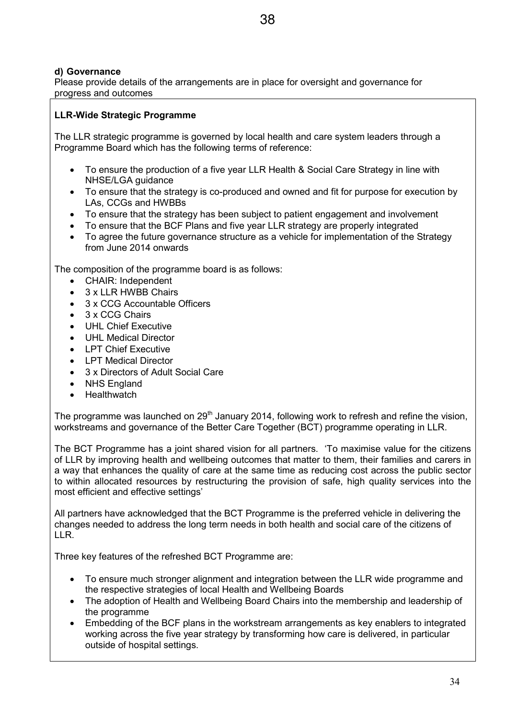## **d) Governance**

Please provide details of the arrangements are in place for oversight and governance for progress and outcomes

## **LLR-Wide Strategic Programme**

The LLR strategic programme is governed by local health and care system leaders through a Programme Board which has the following terms of reference:

- To ensure the production of a five year LLR Health & Social Care Strategy in line with NHSE/LGA guidance
- To ensure that the strategy is co-produced and owned and fit for purpose for execution by LAs, CCGs and HWBBs
- To ensure that the strategy has been subject to patient engagement and involvement
- To ensure that the BCF Plans and five year LLR strategy are properly integrated
- To agree the future governance structure as a vehicle for implementation of the Strategy from June 2014 onwards

The composition of the programme board is as follows:

- CHAIR: Independent
- 3 x LLR HWBB Chairs
- 3 x CCG Accountable Officers
- 3 x CCG Chairs
- **UHL Chief Executive**
- UHL Medical Director
- LPT Chief Executive
- LPT Medical Director
- 3 x Directors of Adult Social Care
- **NHS England**
- **Healthwatch**

The programme was launched on 29<sup>th</sup> January 2014, following work to refresh and refine the vision, workstreams and governance of the Better Care Together (BCT) programme operating in LLR.

The BCT Programme has a joint shared vision for all partners. 'To maximise value for the citizens of LLR by improving health and wellbeing outcomes that matter to them, their families and carers in a way that enhances the quality of care at the same time as reducing cost across the public sector to within allocated resources by restructuring the provision of safe, high quality services into the most efficient and effective settings'

All partners have acknowledged that the BCT Programme is the preferred vehicle in delivering the changes needed to address the long term needs in both health and social care of the citizens of LLR.

Three key features of the refreshed BCT Programme are:

- To ensure much stronger alignment and integration between the LLR wide programme and the respective strategies of local Health and Wellbeing Boards
- The adoption of Health and Wellbeing Board Chairs into the membership and leadership of the programme
- Embedding of the BCF plans in the workstream arrangements as key enablers to integrated working across the five year strategy by transforming how care is delivered, in particular outside of hospital settings.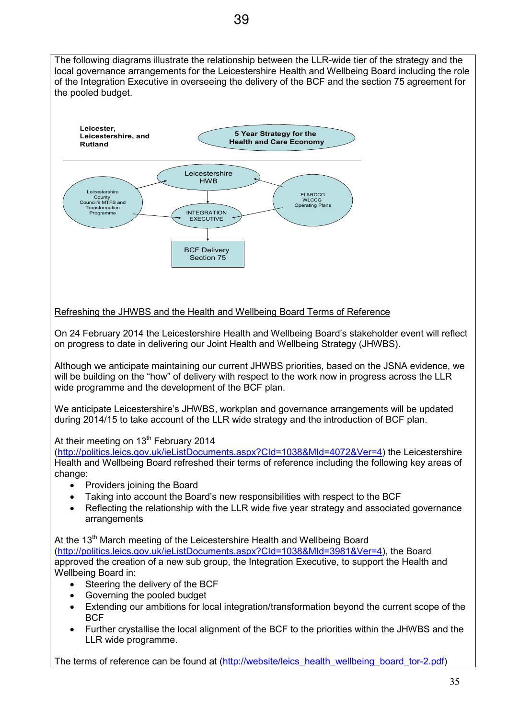The following diagrams illustrate the relationship between the LLR-wide tier of the strategy and the local governance arrangements for the Leicestershire Health and Wellbeing Board including the role of the Integration Executive in overseeing the delivery of the BCF and the section 75 agreement for the pooled budget.



## Refreshing the JHWBS and the Health and Wellbeing Board Terms of Reference

On 24 February 2014 the Leicestershire Health and Wellbeing Board's stakeholder event will reflect on progress to date in delivering our Joint Health and Wellbeing Strategy (JHWBS).

Although we anticipate maintaining our current JHWBS priorities, based on the JSNA evidence, we will be building on the "how" of delivery with respect to the work now in progress across the LLR wide programme and the development of the BCF plan.

We anticipate Leicestershire's JHWBS, workplan and governance arrangements will be updated during 2014/15 to take account of the LLR wide strategy and the introduction of BCF plan.

#### At their meeting on  $13<sup>th</sup>$  February 2014

(http://politics.leics.gov.uk/ieListDocuments.aspx?CId=1038&MId=4072&Ver=4) the Leicestershire Health and Wellbeing Board refreshed their terms of reference including the following key areas of change:

- Providers joining the Board
- Taking into account the Board's new responsibilities with respect to the BCF
- Reflecting the relationship with the LLR wide five year strategy and associated governance arrangements

At the 13<sup>th</sup> March meeting of the Leicestershire Health and Wellbeing Board (http://politics.leics.gov.uk/ieListDocuments.aspx?CId=1038&MId=3981&Ver=4), the Board approved the creation of a new sub group, the Integration Executive, to support the Health and Wellbeing Board in:

- Steering the delivery of the BCF
- Governing the pooled budget
- Extending our ambitions for local integration/transformation beyond the current scope of the **BCF**
- Further crystallise the local alignment of the BCF to the priorities within the JHWBS and the LLR wide programme.

The terms of reference can be found at (http://website/leics\_health\_wellbeing\_board\_tor-2.pdf)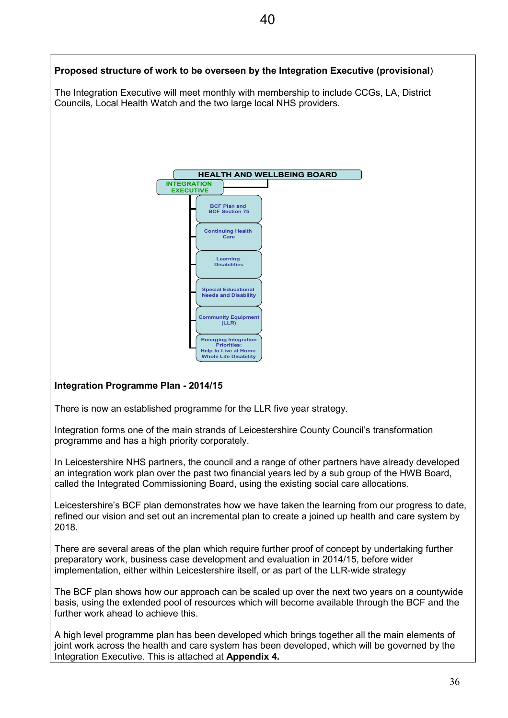# **Proposed structure of work to be overseen by the Integration Executive (provisional**) The Integration Executive will meet monthly with membership to include CCGs, LA, District Councils, Local Health Watch and the two large local NHS providers. **HEALTH AND WELLBEING BOARD INTEGRATION EXECUTIVE BCF Plan and BCF Section 75 Learning Disabilities Continuing Health Care**

## **Integration Programme Plan - 2014/15**

There is now an established programme for the LLR five year strategy.

Integration forms one of the main strands of Leicestershire County Council's transformation programme and has a high priority corporately.

**Community Equipment (LLR)**

**Emerging Integration Priorities: Help to Live at Home Whole Life Disability**

**Special Educational Needs and Disability**

In Leicestershire NHS partners, the council and a range of other partners have already developed an integration work plan over the past two financial years led by a sub group of the HWB Board, called the Integrated Commissioning Board, using the existing social care allocations.

Leicestershire's BCF plan demonstrates how we have taken the learning from our progress to date, refined our vision and set out an incremental plan to create a joined up health and care system by 2018.

There are several areas of the plan which require further proof of concept by undertaking further preparatory work, business case development and evaluation in 2014/15, before wider implementation, either within Leicestershire itself, or as part of the LLR-wide strategy

The BCF plan shows how our approach can be scaled up over the next two years on a countywide basis, using the extended pool of resources which will become available through the BCF and the further work ahead to achieve this.

A high level programme plan has been developed which brings together all the main elements of joint work across the health and care system has been developed, which will be governed by the Integration Executive. This is attached at **Appendix 4.**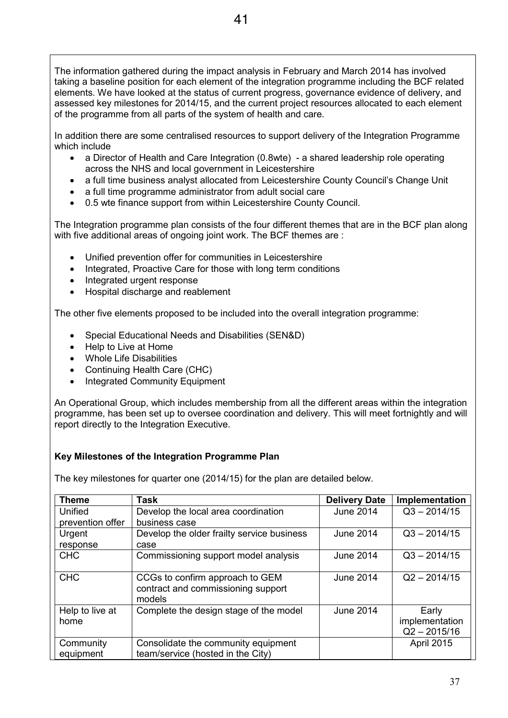The information gathered during the impact analysis in February and March 2014 has involved taking a baseline position for each element of the integration programme including the BCF related elements. We have looked at the status of current progress, governance evidence of delivery, and assessed key milestones for 2014/15, and the current project resources allocated to each element of the programme from all parts of the system of health and care.

In addition there are some centralised resources to support delivery of the Integration Programme which include

- a Director of Health and Care Integration (0.8wte) a shared leadership role operating across the NHS and local government in Leicestershire
- a full time business analyst allocated from Leicestershire County Council's Change Unit
- a full time programme administrator from adult social care
- 0.5 wte finance support from within Leicestershire County Council.

The Integration programme plan consists of the four different themes that are in the BCF plan along with five additional areas of ongoing joint work. The BCF themes are :

- Unified prevention offer for communities in Leicestershire
- Integrated, Proactive Care for those with long term conditions
- Integrated urgent response
- Hospital discharge and reablement

The other five elements proposed to be included into the overall integration programme:

- Special Educational Needs and Disabilities (SEN&D)
- Help to Live at Home
- Whole Life Disabilities
- Continuing Health Care (CHC)
- Integrated Community Equipment

An Operational Group, which includes membership from all the different areas within the integration programme, has been set up to oversee coordination and delivery. This will meet fortnightly and will report directly to the Integration Executive.

#### **Key Milestones of the Integration Programme Plan**

The key milestones for quarter one (2014/15) for the plan are detailed below.

| <b>Theme</b>            | Task                                                                            | <b>Delivery Date</b> | Implementation                            |
|-------------------------|---------------------------------------------------------------------------------|----------------------|-------------------------------------------|
| Unified                 | Develop the local area coordination                                             | <b>June 2014</b>     | $Q3 - 2014/15$                            |
| prevention offer        | business case                                                                   |                      |                                           |
| Urgent                  | Develop the older frailty service business                                      | <b>June 2014</b>     | $Q3 - 2014/15$                            |
| response                | case                                                                            |                      |                                           |
| <b>CHC</b>              | Commissioning support model analysis                                            | June 2014            | $Q3 - 2014/15$                            |
| <b>CHC</b>              | CCGs to confirm approach to GEM<br>contract and commissioning support<br>models | <b>June 2014</b>     | $Q2 - 2014/15$                            |
| Help to live at<br>home | Complete the design stage of the model                                          | <b>June 2014</b>     | Early<br>implementation<br>$Q2 - 2015/16$ |
| Community<br>equipment  | Consolidate the community equipment<br>team/service (hosted in the City)        |                      | <b>April 2015</b>                         |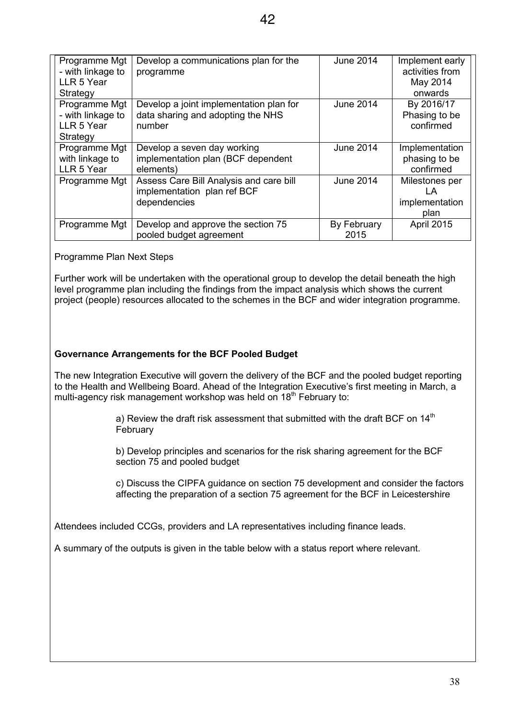| Programme Mgt<br>- with linkage to<br>LLR 5 Year             | Develop a communications plan for the<br>programme                                     | <b>June 2014</b>    | Implement early<br>activities from             |
|--------------------------------------------------------------|----------------------------------------------------------------------------------------|---------------------|------------------------------------------------|
| Strategy                                                     |                                                                                        |                     | May 2014<br>onwards                            |
| Programme Mgt<br>- with linkage to<br>LLR 5 Year<br>Strategy | Develop a joint implementation plan for<br>data sharing and adopting the NHS<br>number | <b>June 2014</b>    | By 2016/17<br>Phasing to be<br>confirmed       |
| Programme Mgt<br>with linkage to<br>LLR 5 Year               | Develop a seven day working<br>implementation plan (BCF dependent<br>elements)         | <b>June 2014</b>    | Implementation<br>phasing to be<br>confirmed   |
| Programme Mgt                                                | Assess Care Bill Analysis and care bill<br>implementation plan ref BCF<br>dependencies | <b>June 2014</b>    | Milestones per<br>LA<br>implementation<br>plan |
| Programme Mgt                                                | Develop and approve the section 75<br>pooled budget agreement                          | By February<br>2015 | April 2015                                     |

Programme Plan Next Steps

Further work will be undertaken with the operational group to develop the detail beneath the high level programme plan including the findings from the impact analysis which shows the current project (people) resources allocated to the schemes in the BCF and wider integration programme.

#### **Governance Arrangements for the BCF Pooled Budget**

The new Integration Executive will govern the delivery of the BCF and the pooled budget reporting to the Health and Wellbeing Board. Ahead of the Integration Executive's first meeting in March, a multi-agency risk management workshop was held on 18<sup>th</sup> February to:

> a) Review the draft risk assessment that submitted with the draft BCF on 14<sup>th</sup> February

b) Develop principles and scenarios for the risk sharing agreement for the BCF section 75 and pooled budget

c) Discuss the CIPFA guidance on section 75 development and consider the factors affecting the preparation of a section 75 agreement for the BCF in Leicestershire

Attendees included CCGs, providers and LA representatives including finance leads.

A summary of the outputs is given in the table below with a status report where relevant.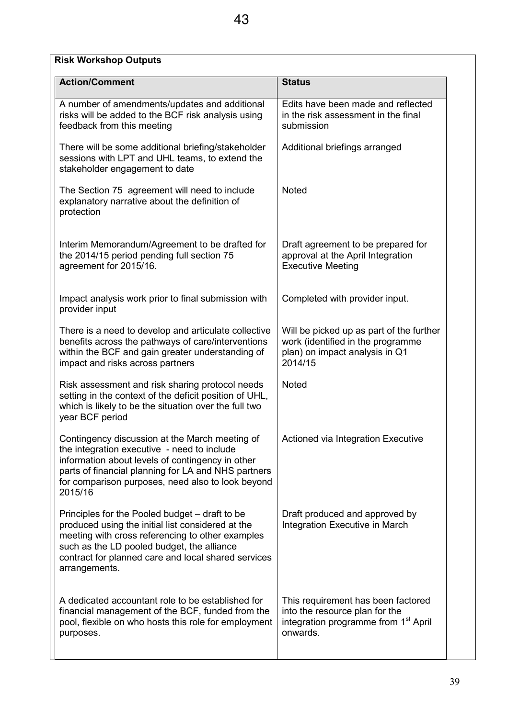| <b>Risk Workshop Outputs</b>                                                                                                                                                                                                                                                  |                                                                                                                                      |  |  |  |  |
|-------------------------------------------------------------------------------------------------------------------------------------------------------------------------------------------------------------------------------------------------------------------------------|--------------------------------------------------------------------------------------------------------------------------------------|--|--|--|--|
| <b>Action/Comment</b>                                                                                                                                                                                                                                                         | <b>Status</b>                                                                                                                        |  |  |  |  |
| A number of amendments/updates and additional<br>risks will be added to the BCF risk analysis using<br>feedback from this meeting                                                                                                                                             | Edits have been made and reflected<br>in the risk assessment in the final<br>submission                                              |  |  |  |  |
| There will be some additional briefing/stakeholder<br>sessions with LPT and UHL teams, to extend the<br>stakeholder engagement to date                                                                                                                                        | Additional briefings arranged                                                                                                        |  |  |  |  |
| The Section 75 agreement will need to include<br>explanatory narrative about the definition of<br>protection                                                                                                                                                                  | <b>Noted</b>                                                                                                                         |  |  |  |  |
| Interim Memorandum/Agreement to be drafted for<br>the 2014/15 period pending full section 75<br>agreement for 2015/16.                                                                                                                                                        | Draft agreement to be prepared for<br>approval at the April Integration<br><b>Executive Meeting</b>                                  |  |  |  |  |
| Impact analysis work prior to final submission with<br>provider input                                                                                                                                                                                                         | Completed with provider input.                                                                                                       |  |  |  |  |
| There is a need to develop and articulate collective<br>benefits across the pathways of care/interventions<br>within the BCF and gain greater understanding of<br>impact and risks across partners                                                                            | Will be picked up as part of the further<br>work (identified in the programme<br>plan) on impact analysis in Q1<br>2014/15           |  |  |  |  |
| Risk assessment and risk sharing protocol needs<br>setting in the context of the deficit position of UHL,<br>which is likely to be the situation over the full two<br>year BCF period                                                                                         | <b>Noted</b>                                                                                                                         |  |  |  |  |
| Contingency discussion at the March meeting of<br>the integration executive - need to include<br>information about levels of contingency in other<br>parts of financial planning for LA and NHS partners<br>for comparison purposes, need also to look beyond<br>2015/16      | Actioned via Integration Executive                                                                                                   |  |  |  |  |
| Principles for the Pooled budget – draft to be<br>produced using the initial list considered at the<br>meeting with cross referencing to other examples<br>such as the LD pooled budget, the alliance<br>contract for planned care and local shared services<br>arrangements. | Draft produced and approved by<br>Integration Executive in March                                                                     |  |  |  |  |
| A dedicated accountant role to be established for<br>financial management of the BCF, funded from the<br>pool, flexible on who hosts this role for employment<br>purposes.                                                                                                    | This requirement has been factored<br>into the resource plan for the<br>integration programme from 1 <sup>st</sup> April<br>onwards. |  |  |  |  |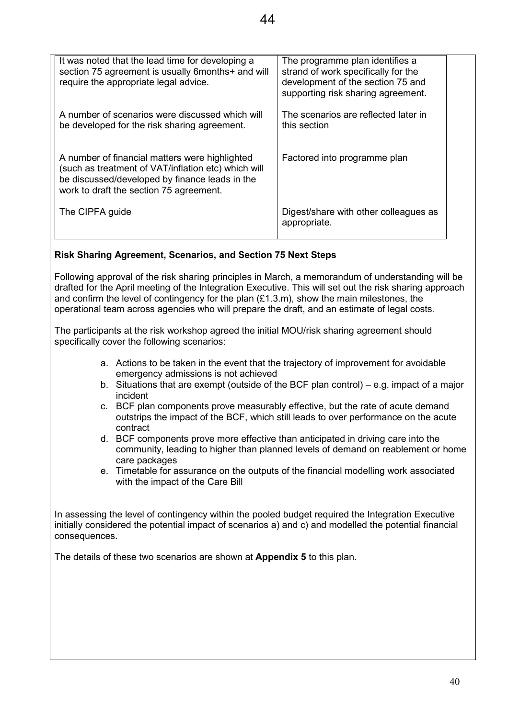A number of financial matters were highlighted (such as treatment of VAT/inflation etc) which will be discussed/developed by finance leads in the work to draft the section 75 agreement.

The CIPFA guide

Digest/share with other colleagues as appropriate.

Factored into programme plan

## **Risk Sharing Agreement, Scenarios, and Section 75 Next Steps**

Following approval of the risk sharing principles in March, a memorandum of understanding will be drafted for the April meeting of the Integration Executive. This will set out the risk sharing approach and confirm the level of contingency for the plan  $(E1.3.m)$ , show the main milestones, the operational team across agencies who will prepare the draft, and an estimate of legal costs.

The participants at the risk workshop agreed the initial MOU/risk sharing agreement should specifically cover the following scenarios:

- a. Actions to be taken in the event that the trajectory of improvement for avoidable emergency admissions is not achieved
- b. Situations that are exempt (outside of the BCF plan control) e.g. impact of a major incident
- c. BCF plan components prove measurably effective, but the rate of acute demand outstrips the impact of the BCF, which still leads to over performance on the acute contract
- d. BCF components prove more effective than anticipated in driving care into the community, leading to higher than planned levels of demand on reablement or home care packages
- e. Timetable for assurance on the outputs of the financial modelling work associated with the impact of the Care Bill

In assessing the level of contingency within the pooled budget required the Integration Executive initially considered the potential impact of scenarios a) and c) and modelled the potential financial consequences.

The details of these two scenarios are shown at **Appendix 5** to this plan.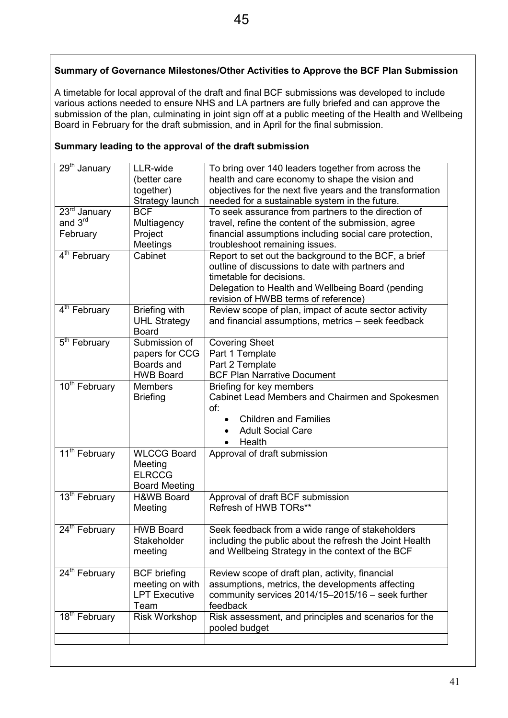## **Summary of Governance Milestones/Other Activities to Approve the BCF Plan Submission**

A timetable for local approval of the draft and final BCF submissions was developed to include various actions needed to ensure NHS and LA partners are fully briefed and can approve the submission of the plan, culminating in joint sign off at a public meeting of the Health and Wellbeing Board in February for the draft submission, and in April for the final submission.

| 29 <sup>th</sup> January  | LLR-wide<br>(better care<br>together)<br>Strategy launch | To bring over 140 leaders together from across the<br>health and care economy to shape the vision and<br>objectives for the next five years and the transformation<br>needed for a sustainable system in the future. |
|---------------------------|----------------------------------------------------------|----------------------------------------------------------------------------------------------------------------------------------------------------------------------------------------------------------------------|
| $23rd$ January            | <b>BCF</b>                                               | To seek assurance from partners to the direction of                                                                                                                                                                  |
| and 3rd                   | Multiagency                                              | travel, refine the content of the submission, agree                                                                                                                                                                  |
| February                  | Project                                                  | financial assumptions including social care protection,                                                                                                                                                              |
|                           | Meetings                                                 | troubleshoot remaining issues.                                                                                                                                                                                       |
| 4 <sup>th</sup> February  | Cabinet                                                  | Report to set out the background to the BCF, a brief                                                                                                                                                                 |
|                           |                                                          | outline of discussions to date with partners and                                                                                                                                                                     |
|                           |                                                          | timetable for decisions.                                                                                                                                                                                             |
|                           |                                                          | Delegation to Health and Wellbeing Board (pending                                                                                                                                                                    |
|                           |                                                          | revision of HWBB terms of reference)                                                                                                                                                                                 |
| 4 <sup>th</sup> February  | Briefing with                                            | Review scope of plan, impact of acute sector activity                                                                                                                                                                |
|                           | <b>UHL Strategy</b>                                      | and financial assumptions, metrics - seek feedback                                                                                                                                                                   |
|                           | <b>Board</b>                                             |                                                                                                                                                                                                                      |
| 5 <sup>th</sup> February  | Submission of                                            | <b>Covering Sheet</b>                                                                                                                                                                                                |
|                           | papers for CCG                                           | Part 1 Template                                                                                                                                                                                                      |
|                           | Boards and                                               | Part 2 Template                                                                                                                                                                                                      |
|                           | <b>HWB Board</b>                                         | <b>BCF Plan Narrative Document</b>                                                                                                                                                                                   |
| 10 <sup>th</sup> February | <b>Members</b>                                           | Briefing for key members                                                                                                                                                                                             |
|                           | <b>Briefing</b>                                          | Cabinet Lead Members and Chairmen and Spokesmen                                                                                                                                                                      |
|                           |                                                          | of:                                                                                                                                                                                                                  |
|                           |                                                          | <b>Children and Families</b>                                                                                                                                                                                         |
|                           |                                                          | <b>Adult Social Care</b>                                                                                                                                                                                             |
|                           |                                                          | Health<br>$\bullet$                                                                                                                                                                                                  |
| 11 <sup>th</sup> February | <b>WLCCG Board</b>                                       | Approval of draft submission                                                                                                                                                                                         |
|                           | Meeting                                                  |                                                                                                                                                                                                                      |
|                           | <b>ELRCCG</b>                                            |                                                                                                                                                                                                                      |
|                           | <b>Board Meeting</b>                                     |                                                                                                                                                                                                                      |
| 13 <sup>th</sup> February | <b>H&amp;WB Board</b>                                    | Approval of draft BCF submission                                                                                                                                                                                     |
|                           | Meeting                                                  | Refresh of HWB TORs**                                                                                                                                                                                                |
|                           |                                                          |                                                                                                                                                                                                                      |
| 24 <sup>th</sup> February | <b>HWB Board</b>                                         | Seek feedback from a wide range of stakeholders                                                                                                                                                                      |
|                           | Stakeholder                                              | including the public about the refresh the Joint Health                                                                                                                                                              |
|                           | meeting                                                  | and Wellbeing Strategy in the context of the BCF                                                                                                                                                                     |
|                           |                                                          |                                                                                                                                                                                                                      |
| $24th$ February           | <b>BCF</b> briefing                                      | Review scope of draft plan, activity, financial                                                                                                                                                                      |
|                           | meeting on with                                          | assumptions, metrics, the developments affecting                                                                                                                                                                     |
|                           | <b>LPT Executive</b>                                     | community services 2014/15-2015/16 - seek further                                                                                                                                                                    |
|                           | Team                                                     | feedback                                                                                                                                                                                                             |
| 18 <sup>th</sup> February | <b>Risk Workshop</b>                                     | Risk assessment, and principles and scenarios for the                                                                                                                                                                |
|                           |                                                          | pooled budget                                                                                                                                                                                                        |
|                           |                                                          |                                                                                                                                                                                                                      |

#### **Summary leading to the approval of the draft submission**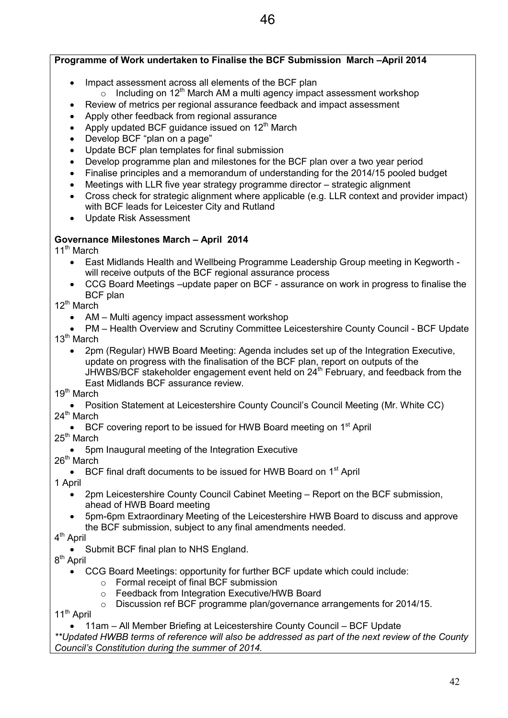## **Programme of Work undertaken to Finalise the BCF Submission March –April 2014**

- Impact assessment across all elements of the BCF plan
	- $\circ$  Including on 12<sup>th</sup> March AM a multi agency impact assessment workshop
- Review of metrics per regional assurance feedback and impact assessment
- Apply other feedback from regional assurance
- Apply updated BCF guidance issued on  $12<sup>th</sup>$  March
- Develop BCF "plan on a page"
- Update BCF plan templates for final submission
- Develop programme plan and milestones for the BCF plan over a two year period
- Finalise principles and a memorandum of understanding for the 2014/15 pooled budget
- Meetings with LLR five year strategy programme director strategic alignment
- Cross check for strategic alignment where applicable (e.g. LLR context and provider impact) with BCF leads for Leicester City and Rutland
- Update Risk Assessment

## **Governance Milestones March – April 2014**

11<sup>th</sup> March

- East Midlands Health and Wellbeing Programme Leadership Group meeting in Kegworth will receive outputs of the BCF regional assurance process
- CCG Board Meetings –update paper on BCF assurance on work in progress to finalise the BCF plan

12<sup>th</sup> March

- AM Multi agency impact assessment workshop
- PM Health Overview and Scrutiny Committee Leicestershire County Council BCF Update 13<sup>th</sup> March
	- 2pm (Regular) HWB Board Meeting: Agenda includes set up of the Integration Executive, update on progress with the finalisation of the BCF plan, report on outputs of the JHWBS/BCF stakeholder engagement event held on  $24<sup>th</sup>$  February, and feedback from the East Midlands BCF assurance review.
- 19<sup>th</sup> March
- Position Statement at Leicestershire County Council's Council Meeting (Mr. White CC) 24<sup>th</sup> March
	- BCF covering report to be issued for HWB Board meeting on  $1<sup>st</sup>$  April
- 25<sup>th</sup> March
	- 5pm Inaugural meeting of the Integration Executive

26<sup>th</sup> March

• BCF final draft documents to be issued for HWB Board on  $1<sup>st</sup>$  April

1 April

- 2pm Leicestershire County Council Cabinet Meeting Report on the BCF submission, ahead of HWB Board meeting
- 5pm-6pm Extraordinary Meeting of the Leicestershire HWB Board to discuss and approve the BCF submission, subject to any final amendments needed.
- 4<sup>th</sup> April
	- Submit BCF final plan to NHS England.

8<sup>th</sup> April

- CCG Board Meetings: opportunity for further BCF update which could include:
	- o Formal receipt of final BCF submission
	- o Feedback from Integration Executive/HWB Board
	- o Discussion ref BCF programme plan/governance arrangements for 2014/15.

11<sup>th</sup> April

• 11am – All Member Briefing at Leicestershire County Council – BCF Update

*\*\*Updated HWBB terms of reference will also be addressed as part of the next review of the County Council's Constitution during the summer of 2014.*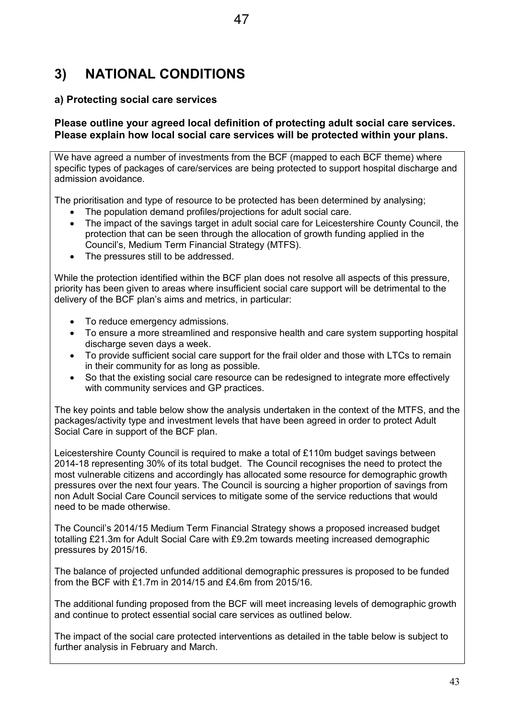## **3) NATIONAL CONDITIONS**

## **a) Protecting social care services**

#### **Please outline your agreed local definition of protecting adult social care services. Please explain how local social care services will be protected within your plans.**

47

We have agreed a number of investments from the BCF (mapped to each BCF theme) where specific types of packages of care/services are being protected to support hospital discharge and admission avoidance.

The prioritisation and type of resource to be protected has been determined by analysing;

- The population demand profiles/projections for adult social care.
- The impact of the savings target in adult social care for Leicestershire County Council, the protection that can be seen through the allocation of growth funding applied in the Council's, Medium Term Financial Strategy (MTFS).
- The pressures still to be addressed.

While the protection identified within the BCF plan does not resolve all aspects of this pressure, priority has been given to areas where insufficient social care support will be detrimental to the delivery of the BCF plan's aims and metrics, in particular:

- To reduce emergency admissions.
- To ensure a more streamlined and responsive health and care system supporting hospital discharge seven days a week.
- To provide sufficient social care support for the frail older and those with LTCs to remain in their community for as long as possible.
- So that the existing social care resource can be redesigned to integrate more effectively with community services and GP practices.

The key points and table below show the analysis undertaken in the context of the MTFS, and the packages/activity type and investment levels that have been agreed in order to protect Adult Social Care in support of the BCF plan.

Leicestershire County Council is required to make a total of £110m budget savings between 2014-18 representing 30% of its total budget. The Council recognises the need to protect the most vulnerable citizens and accordingly has allocated some resource for demographic growth pressures over the next four years. The Council is sourcing a higher proportion of savings from non Adult Social Care Council services to mitigate some of the service reductions that would need to be made otherwise.

The Council's 2014/15 Medium Term Financial Strategy shows a proposed increased budget totalling £21.3m for Adult Social Care with £9.2m towards meeting increased demographic pressures by 2015/16.

The balance of projected unfunded additional demographic pressures is proposed to be funded from the BCF with £1.7m in 2014/15 and £4.6m from 2015/16.

The additional funding proposed from the BCF will meet increasing levels of demographic growth and continue to protect essential social care services as outlined below.

The impact of the social care protected interventions as detailed in the table below is subject to further analysis in February and March.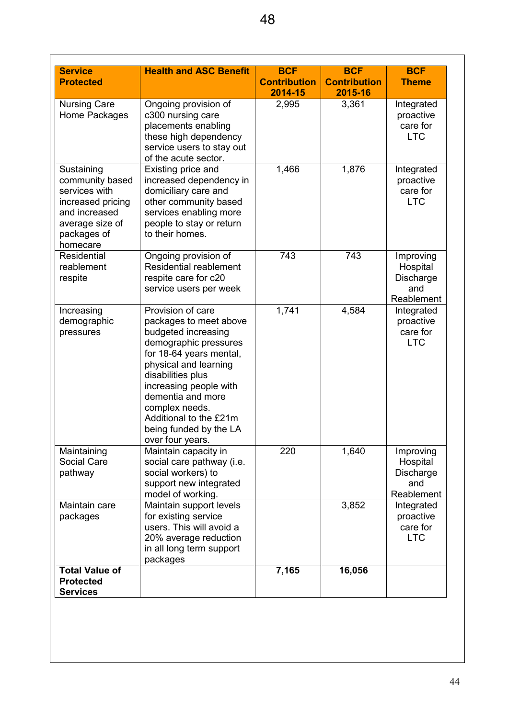| <b>Service</b>                            | <b>Health and ASC Benefit</b>                         | <b>BCF</b>          | <b>BCF</b>          | <b>BCF</b>               |
|-------------------------------------------|-------------------------------------------------------|---------------------|---------------------|--------------------------|
| <b>Protected</b>                          |                                                       | <b>Contribution</b> | <b>Contribution</b> | <b>Theme</b>             |
|                                           |                                                       | 2014-15             | 2015-16             |                          |
| <b>Nursing Care</b><br>Home Packages      | Ongoing provision of<br>c300 nursing care             | 2,995               | 3,361               | Integrated<br>proactive  |
|                                           | placements enabling                                   |                     |                     | care for                 |
|                                           | these high dependency                                 |                     |                     | <b>LTC</b>               |
|                                           | service users to stay out                             |                     |                     |                          |
|                                           | of the acute sector.                                  |                     |                     |                          |
| Sustaining                                | Existing price and                                    | 1,466               | 1,876               | Integrated               |
| community based<br>services with          | increased dependency in<br>domiciliary care and       |                     |                     | proactive<br>care for    |
| increased pricing                         | other community based                                 |                     |                     | <b>LTC</b>               |
| and increased                             | services enabling more                                |                     |                     |                          |
| average size of                           | people to stay or return                              |                     |                     |                          |
| packages of                               | to their homes.                                       |                     |                     |                          |
| homecare                                  |                                                       |                     |                     |                          |
| Residential<br>reablement                 | Ongoing provision of<br><b>Residential reablement</b> | 743                 | 743                 | Improving<br>Hospital    |
| respite                                   | respite care for c20                                  |                     |                     | Discharge                |
|                                           | service users per week                                |                     |                     | and                      |
|                                           |                                                       |                     |                     | Reablement               |
| Increasing                                | Provision of care                                     | 1,741               | 4,584               | Integrated               |
| demographic                               | packages to meet above                                |                     |                     | proactive                |
| pressures                                 | budgeted increasing                                   |                     |                     | care for                 |
|                                           | demographic pressures<br>for 18-64 years mental,      |                     |                     | <b>LTC</b>               |
|                                           | physical and learning                                 |                     |                     |                          |
|                                           | disabilities plus                                     |                     |                     |                          |
|                                           | increasing people with                                |                     |                     |                          |
|                                           | dementia and more                                     |                     |                     |                          |
|                                           | complex needs.                                        |                     |                     |                          |
|                                           | Additional to the £21m<br>being funded by the LA      |                     |                     |                          |
|                                           | over four years.                                      |                     |                     |                          |
| Maintaining                               | Maintain capacity in                                  | 220                 | 1,640               | Improving                |
| Social Care                               | social care pathway (i.e.                             |                     |                     | Hospital                 |
| pathway                                   | social workers) to                                    |                     |                     | Discharge                |
|                                           | support new integrated                                |                     |                     | and                      |
| Maintain care                             | model of working.<br>Maintain support levels          |                     | 3,852               | Reablement<br>Integrated |
| packages                                  | for existing service                                  |                     |                     | proactive                |
|                                           | users. This will avoid a                              |                     |                     | care for                 |
|                                           | 20% average reduction                                 |                     |                     | <b>LTC</b>               |
|                                           | in all long term support                              |                     |                     |                          |
|                                           | packages                                              |                     |                     |                          |
| <b>Total Value of</b><br><b>Protected</b> |                                                       | 7,165               | 16,056              |                          |
| <b>Services</b>                           |                                                       |                     |                     |                          |
|                                           |                                                       |                     |                     |                          |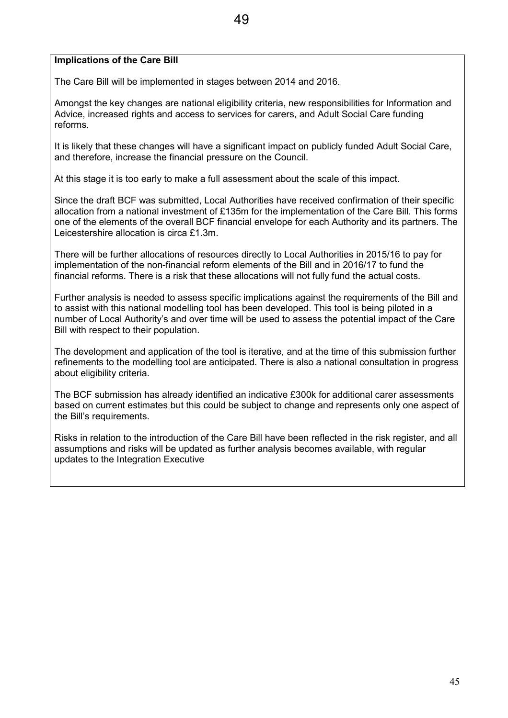#### **Implications of the Care Bill**

The Care Bill will be implemented in stages between 2014 and 2016.

Amongst the key changes are national eligibility criteria, new responsibilities for Information and Advice, increased rights and access to services for carers, and Adult Social Care funding reforms.

It is likely that these changes will have a significant impact on publicly funded Adult Social Care, and therefore, increase the financial pressure on the Council.

At this stage it is too early to make a full assessment about the scale of this impact.

Since the draft BCF was submitted, Local Authorities have received confirmation of their specific allocation from a national investment of £135m for the implementation of the Care Bill. This forms one of the elements of the overall BCF financial envelope for each Authority and its partners. The Leicestershire allocation is circa £1.3m.

There will be further allocations of resources directly to Local Authorities in 2015/16 to pay for implementation of the non-financial reform elements of the Bill and in 2016/17 to fund the financial reforms. There is a risk that these allocations will not fully fund the actual costs.

Further analysis is needed to assess specific implications against the requirements of the Bill and to assist with this national modelling tool has been developed. This tool is being piloted in a number of Local Authority's and over time will be used to assess the potential impact of the Care Bill with respect to their population.

The development and application of the tool is iterative, and at the time of this submission further refinements to the modelling tool are anticipated. There is also a national consultation in progress about eligibility criteria.

The BCF submission has already identified an indicative £300k for additional carer assessments based on current estimates but this could be subject to change and represents only one aspect of the Bill's requirements.

Risks in relation to the introduction of the Care Bill have been reflected in the risk register, and all assumptions and risks will be updated as further analysis becomes available, with regular updates to the Integration Executive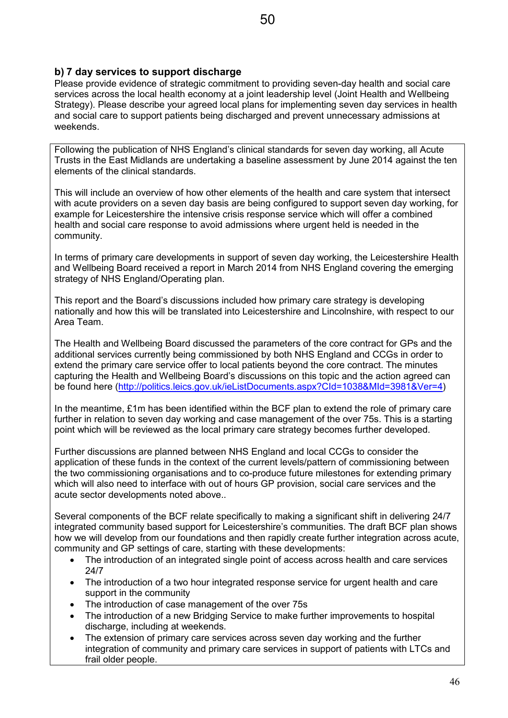## **b) 7 day services to support discharge**

Please provide evidence of strategic commitment to providing seven-day health and social care services across the local health economy at a joint leadership level (Joint Health and Wellbeing Strategy). Please describe your agreed local plans for implementing seven day services in health and social care to support patients being discharged and prevent unnecessary admissions at weekends.

Following the publication of NHS England's clinical standards for seven day working, all Acute Trusts in the East Midlands are undertaking a baseline assessment by June 2014 against the ten elements of the clinical standards.

This will include an overview of how other elements of the health and care system that intersect with acute providers on a seven day basis are being configured to support seven day working, for example for Leicestershire the intensive crisis response service which will offer a combined health and social care response to avoid admissions where urgent held is needed in the community.

In terms of primary care developments in support of seven day working, the Leicestershire Health and Wellbeing Board received a report in March 2014 from NHS England covering the emerging strategy of NHS England/Operating plan.

This report and the Board's discussions included how primary care strategy is developing nationally and how this will be translated into Leicestershire and Lincolnshire, with respect to our Area Team.

The Health and Wellbeing Board discussed the parameters of the core contract for GPs and the additional services currently being commissioned by both NHS England and CCGs in order to extend the primary care service offer to local patients beyond the core contract. The minutes capturing the Health and Wellbeing Board's discussions on this topic and the action agreed can be found here (http://politics.leics.gov.uk/ieListDocuments.aspx?CId=1038&MId=3981&Ver=4)

In the meantime, £1m has been identified within the BCF plan to extend the role of primary care further in relation to seven day working and case management of the over 75s. This is a starting point which will be reviewed as the local primary care strategy becomes further developed.

Further discussions are planned between NHS England and local CCGs to consider the application of these funds in the context of the current levels/pattern of commissioning between the two commissioning organisations and to co-produce future milestones for extending primary which will also need to interface with out of hours GP provision, social care services and the acute sector developments noted above..

Several components of the BCF relate specifically to making a significant shift in delivering 24/7 integrated community based support for Leicestershire's communities. The draft BCF plan shows how we will develop from our foundations and then rapidly create further integration across acute, community and GP settings of care, starting with these developments:

- The introduction of an integrated single point of access across health and care services 24/7
- The introduction of a two hour integrated response service for urgent health and care support in the community
- The introduction of case management of the over 75s
- The introduction of a new Bridging Service to make further improvements to hospital discharge, including at weekends.
- The extension of primary care services across seven day working and the further integration of community and primary care services in support of patients with LTCs and frail older people.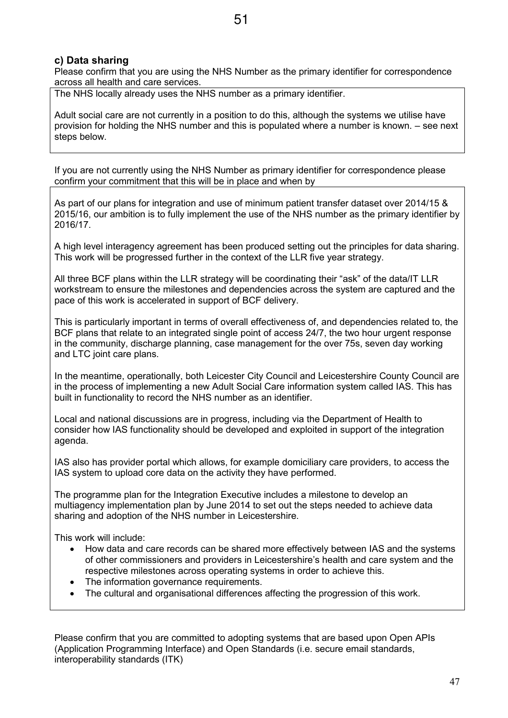## **c) Data sharing**

Please confirm that you are using the NHS Number as the primary identifier for correspondence across all health and care services.

The NHS locally already uses the NHS number as a primary identifier.

Adult social care are not currently in a position to do this, although the systems we utilise have provision for holding the NHS number and this is populated where a number is known. – see next steps below.

If you are not currently using the NHS Number as primary identifier for correspondence please confirm your commitment that this will be in place and when by

As part of our plans for integration and use of minimum patient transfer dataset over 2014/15 & 2015/16, our ambition is to fully implement the use of the NHS number as the primary identifier by 2016/17.

A high level interagency agreement has been produced setting out the principles for data sharing. This work will be progressed further in the context of the LLR five year strategy.

All three BCF plans within the LLR strategy will be coordinating their "ask" of the data/IT LLR workstream to ensure the milestones and dependencies across the system are captured and the pace of this work is accelerated in support of BCF delivery.

This is particularly important in terms of overall effectiveness of, and dependencies related to, the BCF plans that relate to an integrated single point of access 24/7, the two hour urgent response in the community, discharge planning, case management for the over 75s, seven day working and LTC joint care plans.

In the meantime, operationally, both Leicester City Council and Leicestershire County Council are in the process of implementing a new Adult Social Care information system called IAS. This has built in functionality to record the NHS number as an identifier.

Local and national discussions are in progress, including via the Department of Health to consider how IAS functionality should be developed and exploited in support of the integration agenda.

IAS also has provider portal which allows, for example domiciliary care providers, to access the IAS system to upload core data on the activity they have performed.

The programme plan for the Integration Executive includes a milestone to develop an multiagency implementation plan by June 2014 to set out the steps needed to achieve data sharing and adoption of the NHS number in Leicestershire.

This work will include:

- How data and care records can be shared more effectively between IAS and the systems of other commissioners and providers in Leicestershire's health and care system and the respective milestones across operating systems in order to achieve this.
- The information governance requirements.
- The cultural and organisational differences affecting the progression of this work.

Please confirm that you are committed to adopting systems that are based upon Open APIs (Application Programming Interface) and Open Standards (i.e. secure email standards, interoperability standards (ITK)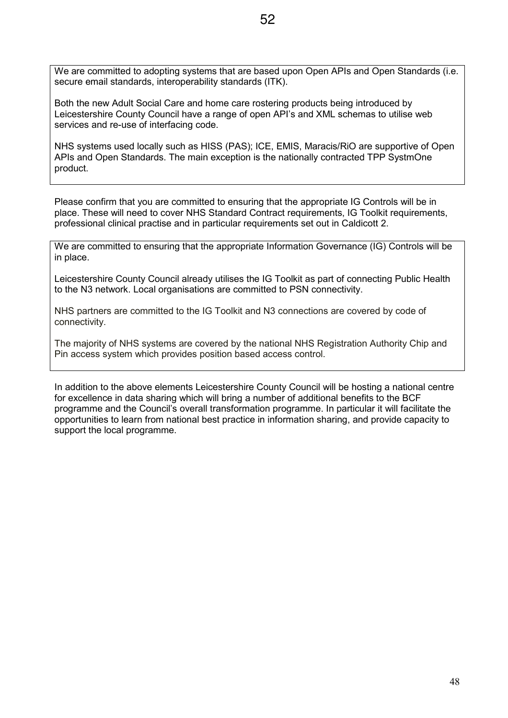We are committed to adopting systems that are based upon Open APIs and Open Standards (i.e. secure email standards, interoperability standards (ITK).

Both the new Adult Social Care and home care rostering products being introduced by Leicestershire County Council have a range of open API's and XML schemas to utilise web services and re-use of interfacing code.

NHS systems used locally such as HISS (PAS); ICE, EMIS, Maracis/RiO are supportive of Open APIs and Open Standards. The main exception is the nationally contracted TPP SystmOne product.

Please confirm that you are committed to ensuring that the appropriate IG Controls will be in place. These will need to cover NHS Standard Contract requirements, IG Toolkit requirements, professional clinical practise and in particular requirements set out in Caldicott 2.

We are committed to ensuring that the appropriate Information Governance (IG) Controls will be in place.

Leicestershire County Council already utilises the IG Toolkit as part of connecting Public Health to the N3 network. Local organisations are committed to PSN connectivity.

NHS partners are committed to the IG Toolkit and N3 connections are covered by code of connectivity.

The majority of NHS systems are covered by the national NHS Registration Authority Chip and Pin access system which provides position based access control.

In addition to the above elements Leicestershire County Council will be hosting a national centre for excellence in data sharing which will bring a number of additional benefits to the BCF programme and the Council's overall transformation programme. In particular it will facilitate the opportunities to learn from national best practice in information sharing, and provide capacity to support the local programme.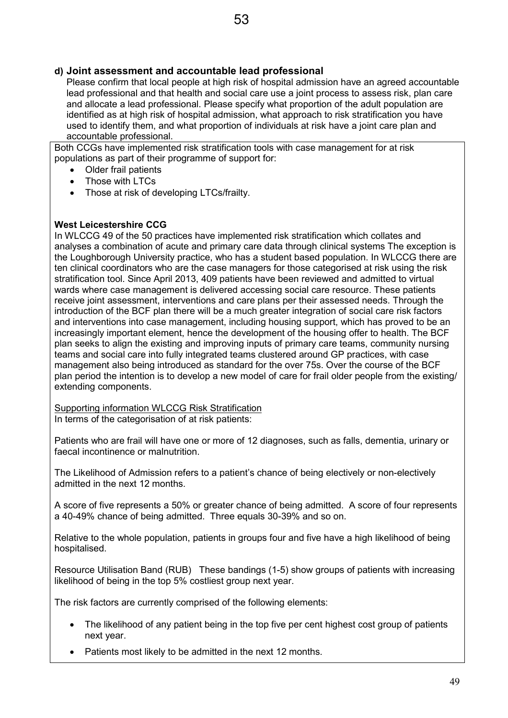## **d) Joint assessment and accountable lead professional**

Please confirm that local people at high risk of hospital admission have an agreed accountable lead professional and that health and social care use a joint process to assess risk, plan care and allocate a lead professional. Please specify what proportion of the adult population are identified as at high risk of hospital admission, what approach to risk stratification you have used to identify them, and what proportion of individuals at risk have a joint care plan and accountable professional.

Both CCGs have implemented risk stratification tools with case management for at risk populations as part of their programme of support for:

- Older frail patients
- Those with LTCs
- Those at risk of developing LTCs/frailty.

#### **West Leicestershire CCG**

In WLCCG 49 of the 50 practices have implemented risk stratification which collates and analyses a combination of acute and primary care data through clinical systems The exception is the Loughborough University practice, who has a student based population. In WLCCG there are ten clinical coordinators who are the case managers for those categorised at risk using the risk stratification tool. Since April 2013, 409 patients have been reviewed and admitted to virtual wards where case management is delivered accessing social care resource. These patients receive joint assessment, interventions and care plans per their assessed needs. Through the introduction of the BCF plan there will be a much greater integration of social care risk factors and interventions into case management, including housing support, which has proved to be an increasingly important element, hence the development of the housing offer to health. The BCF plan seeks to align the existing and improving inputs of primary care teams, community nursing teams and social care into fully integrated teams clustered around GP practices, with case management also being introduced as standard for the over 75s. Over the course of the BCF plan period the intention is to develop a new model of care for frail older people from the existing/ extending components.

Supporting information WLCCG Risk Stratification In terms of the categorisation of at risk patients:

Patients who are frail will have one or more of 12 diagnoses, such as falls, dementia, urinary or faecal incontinence or malnutrition.

The Likelihood of Admission refers to a patient's chance of being electively or non-electively admitted in the next 12 months.

A score of five represents a 50% or greater chance of being admitted. A score of four represents a 40-49% chance of being admitted. Three equals 30-39% and so on.

Relative to the whole population, patients in groups four and five have a high likelihood of being hospitalised.

Resource Utilisation Band (RUB) These bandings (1-5) show groups of patients with increasing likelihood of being in the top 5% costliest group next year.

The risk factors are currently comprised of the following elements:

- The likelihood of any patient being in the top five per cent highest cost group of patients next year.
- Patients most likely to be admitted in the next 12 months.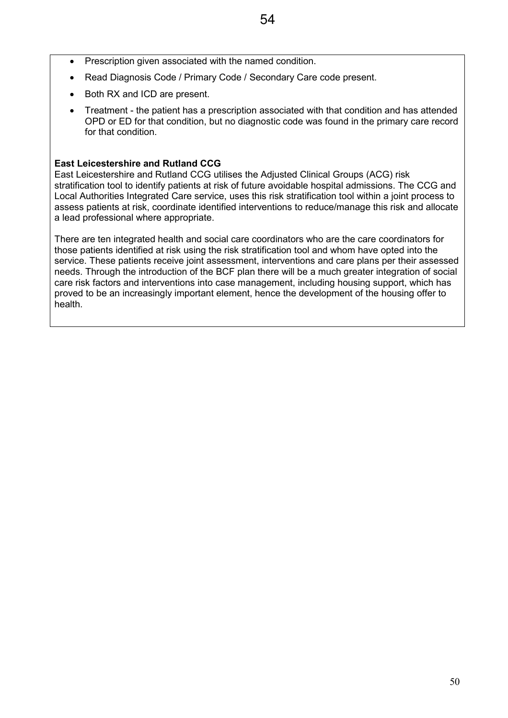- Prescription given associated with the named condition.
- Read Diagnosis Code / Primary Code / Secondary Care code present.
- Both RX and ICD are present.
- Treatment the patient has a prescription associated with that condition and has attended OPD or ED for that condition, but no diagnostic code was found in the primary care record for that condition.

#### **East Leicestershire and Rutland CCG**

East Leicestershire and Rutland CCG utilises the Adjusted Clinical Groups (ACG) risk stratification tool to identify patients at risk of future avoidable hospital admissions. The CCG and Local Authorities Integrated Care service, uses this risk stratification tool within a joint process to assess patients at risk, coordinate identified interventions to reduce/manage this risk and allocate a lead professional where appropriate.

There are ten integrated health and social care coordinators who are the care coordinators for those patients identified at risk using the risk stratification tool and whom have opted into the service. These patients receive joint assessment, interventions and care plans per their assessed needs. Through the introduction of the BCF plan there will be a much greater integration of social care risk factors and interventions into case management, including housing support, which has proved to be an increasingly important element, hence the development of the housing offer to health.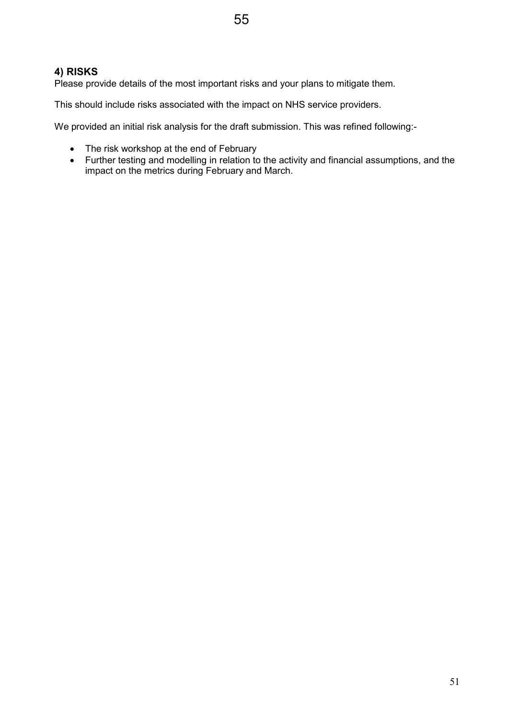## **4) RISKS**

Please provide details of the most important risks and your plans to mitigate them.

This should include risks associated with the impact on NHS service providers.

We provided an initial risk analysis for the draft submission. This was refined following:-

- The risk workshop at the end of February
- Further testing and modelling in relation to the activity and financial assumptions, and the impact on the metrics during February and March.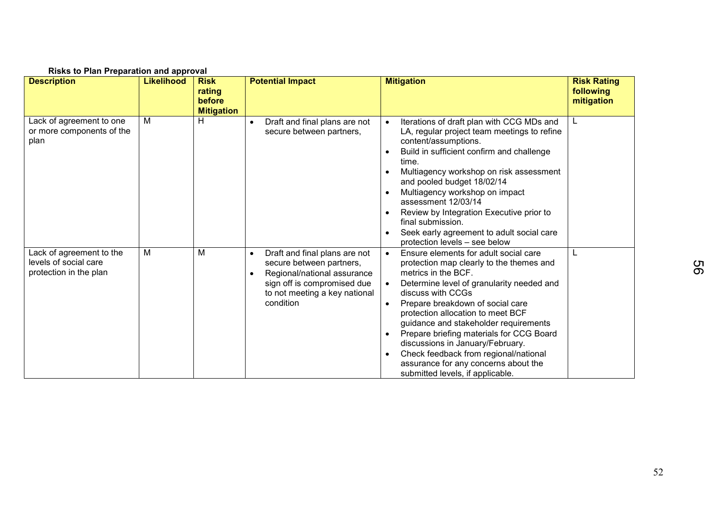| wowe to main moparation and approval                                        | <b>Likelihood</b> |                                                      | <b>Potential Impact</b>                                                                                                                                                            | <b>Mitigation</b>                                                                                                                                                                                                                                                                                                                                                                                                                                                                                                           | <b>Risk Rating</b>      |
|-----------------------------------------------------------------------------|-------------------|------------------------------------------------------|------------------------------------------------------------------------------------------------------------------------------------------------------------------------------------|-----------------------------------------------------------------------------------------------------------------------------------------------------------------------------------------------------------------------------------------------------------------------------------------------------------------------------------------------------------------------------------------------------------------------------------------------------------------------------------------------------------------------------|-------------------------|
| <b>Description</b>                                                          |                   | <b>Risk</b><br>rating<br>before<br><b>Mitigation</b> |                                                                                                                                                                                    |                                                                                                                                                                                                                                                                                                                                                                                                                                                                                                                             | following<br>mitigation |
| Lack of agreement to one<br>or more components of the<br>plan               | м                 | H                                                    | Draft and final plans are not<br>secure between partners,                                                                                                                          | Iterations of draft plan with CCG MDs and<br>$\bullet$<br>LA, regular project team meetings to refine<br>content/assumptions.<br>Build in sufficient confirm and challenge<br>$\bullet$<br>time.<br>Multiagency workshop on risk assessment<br>and pooled budget 18/02/14<br>Multiagency workshop on impact<br>assessment 12/03/14<br>Review by Integration Executive prior to<br>final submission.<br>Seek early agreement to adult social care<br>protection levels - see below                                           |                         |
| Lack of agreement to the<br>levels of social care<br>protection in the plan | M                 | M                                                    | Draft and final plans are not<br>$\bullet$<br>secure between partners,<br>Regional/national assurance<br>sign off is compromised due<br>to not meeting a key national<br>condition | Ensure elements for adult social care<br>$\bullet$<br>protection map clearly to the themes and<br>metrics in the BCF.<br>Determine level of granularity needed and<br>discuss with CCGs<br>Prepare breakdown of social care<br>$\bullet$<br>protection allocation to meet BCF<br>guidance and stakeholder requirements<br>Prepare briefing materials for CCG Board<br>discussions in January/February.<br>Check feedback from regional/national<br>assurance for any concerns about the<br>submitted levels, if applicable. | L                       |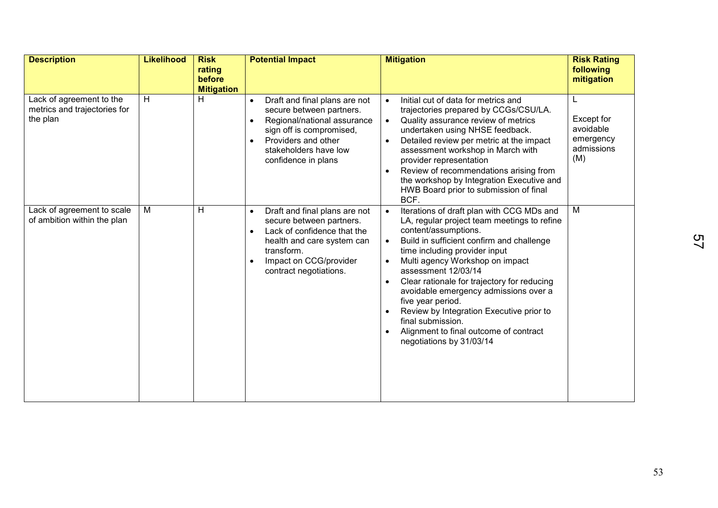| <b>Description</b>                                                   | <b>Likelihood</b> | <b>Risk</b><br>rating<br>before<br><b>Mitigation</b> | <b>Potential Impact</b>                                                                                                                                                                                                            | <b>Mitigation</b>                                                                                                                                                                                                                                                                                                                                                                                                                                                                                                                                                                          | <b>Risk Rating</b><br>following<br>mitigation                         |
|----------------------------------------------------------------------|-------------------|------------------------------------------------------|------------------------------------------------------------------------------------------------------------------------------------------------------------------------------------------------------------------------------------|--------------------------------------------------------------------------------------------------------------------------------------------------------------------------------------------------------------------------------------------------------------------------------------------------------------------------------------------------------------------------------------------------------------------------------------------------------------------------------------------------------------------------------------------------------------------------------------------|-----------------------------------------------------------------------|
| Lack of agreement to the<br>metrics and trajectories for<br>the plan | H                 | H                                                    | Draft and final plans are not<br>$\bullet$<br>secure between partners.<br>Regional/national assurance<br>$\bullet$<br>sign off is compromised,<br>Providers and other<br>$\bullet$<br>stakeholders have low<br>confidence in plans | Initial cut of data for metrics and<br>$\bullet$<br>trajectories prepared by CCGs/CSU/LA.<br>Quality assurance review of metrics<br>$\bullet$<br>undertaken using NHSE feedback.<br>Detailed review per metric at the impact<br>$\bullet$<br>assessment workshop in March with<br>provider representation<br>Review of recommendations arising from<br>$\bullet$<br>the workshop by Integration Executive and<br>HWB Board prior to submission of final<br>BCF.                                                                                                                            | L<br><b>Except for</b><br>avoidable<br>emergency<br>admissions<br>(M) |
| Lack of agreement to scale<br>of ambition within the plan            | M                 | Н                                                    | Draft and final plans are not<br>$\bullet$<br>secure between partners.<br>Lack of confidence that the<br>$\bullet$<br>health and care system can<br>transform.<br>Impact on CCG/provider<br>contract negotiations.                 | Iterations of draft plan with CCG MDs and<br>$\bullet$<br>LA, regular project team meetings to refine<br>content/assumptions.<br>Build in sufficient confirm and challenge<br>$\bullet$<br>time including provider input<br>Multi agency Workshop on impact<br>$\bullet$<br>assessment 12/03/14<br>Clear rationale for trajectory for reducing<br>$\bullet$<br>avoidable emergency admissions over a<br>five year period.<br>Review by Integration Executive prior to<br>$\bullet$<br>final submission.<br>Alignment to final outcome of contract<br>$\bullet$<br>negotiations by 31/03/14 | M                                                                     |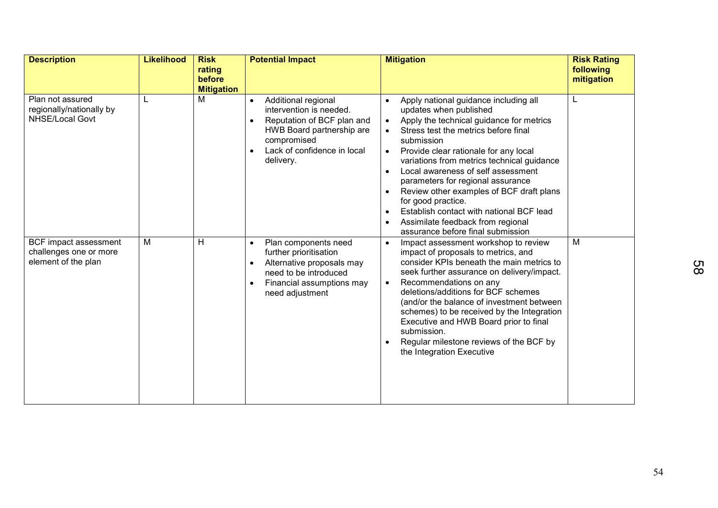| <b>Description</b>                                                     | <b>Likelihood</b> | <b>Risk</b><br>rating<br>before | <b>Potential Impact</b>                                                                                                                                                                        | <b>Mitigation</b>                                                                                                                                                                                                                                                                                                                                                                                                                                                                                                                                                                                                                   | <b>Risk Rating</b><br>following |
|------------------------------------------------------------------------|-------------------|---------------------------------|------------------------------------------------------------------------------------------------------------------------------------------------------------------------------------------------|-------------------------------------------------------------------------------------------------------------------------------------------------------------------------------------------------------------------------------------------------------------------------------------------------------------------------------------------------------------------------------------------------------------------------------------------------------------------------------------------------------------------------------------------------------------------------------------------------------------------------------------|---------------------------------|
|                                                                        |                   | <b>Mitigation</b>               |                                                                                                                                                                                                |                                                                                                                                                                                                                                                                                                                                                                                                                                                                                                                                                                                                                                     | mitigation                      |
| Plan not assured<br>regionally/nationally by<br><b>NHSE/Local Govt</b> |                   | M                               | Additional regional<br>$\bullet$<br>intervention is needed.<br>Reputation of BCF plan and<br>HWB Board partnership are<br>compromised<br>Lack of confidence in local<br>$\bullet$<br>delivery. | Apply national guidance including all<br>$\bullet$<br>updates when published<br>Apply the technical guidance for metrics<br>$\bullet$<br>Stress test the metrics before final<br>$\bullet$<br>submission<br>Provide clear rationale for any local<br>$\bullet$<br>variations from metrics technical guidance<br>Local awareness of self assessment<br>$\bullet$<br>parameters for regional assurance<br>Review other examples of BCF draft plans<br>$\bullet$<br>for good practice.<br>Establish contact with national BCF lead<br>$\bullet$<br>Assimilate feedback from regional<br>$\bullet$<br>assurance before final submission |                                 |
| BCF impact assessment<br>challenges one or more<br>element of the plan | M                 | н                               | Plan components need<br>$\bullet$<br>further prioritisation<br>Alternative proposals may<br>need to be introduced<br>Financial assumptions may<br>$\bullet$<br>need adjustment                 | Impact assessment workshop to review<br>$\bullet$<br>impact of proposals to metrics, and<br>consider KPIs beneath the main metrics to<br>seek further assurance on delivery/impact.<br>Recommendations on any<br>$\bullet$<br>deletions/additions for BCF schemes<br>(and/or the balance of investment between)<br>schemes) to be received by the Integration<br>Executive and HWB Board prior to final<br>submission.<br>Regular milestone reviews of the BCF by<br>the Integration Executive                                                                                                                                      | M                               |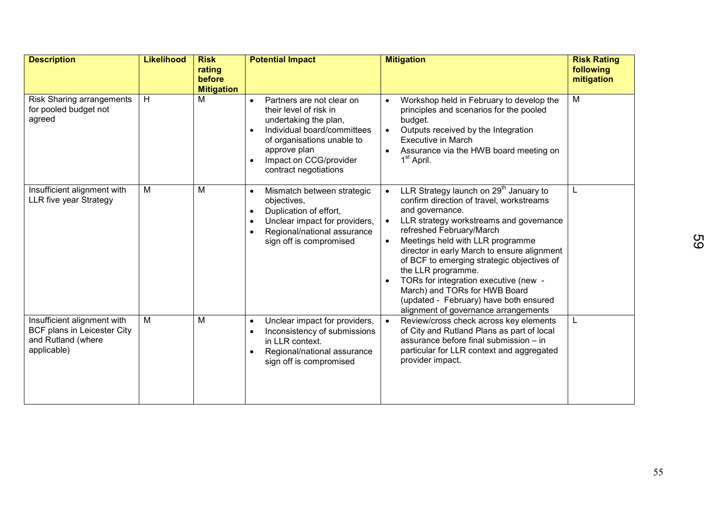| <b>Description</b>                                                                              | <b>Likelihood</b> | <b>Risk</b><br>rating       | <b>Potential Impact</b>                                                                                                                                                                                                                | <b>Mitigation</b>                                                                                                                                                                                                                                                                                                                                                                                                                                                                                                        | <b>Risk Rating</b><br>following |
|-------------------------------------------------------------------------------------------------|-------------------|-----------------------------|----------------------------------------------------------------------------------------------------------------------------------------------------------------------------------------------------------------------------------------|--------------------------------------------------------------------------------------------------------------------------------------------------------------------------------------------------------------------------------------------------------------------------------------------------------------------------------------------------------------------------------------------------------------------------------------------------------------------------------------------------------------------------|---------------------------------|
|                                                                                                 |                   | before<br><b>Mitigation</b> |                                                                                                                                                                                                                                        |                                                                                                                                                                                                                                                                                                                                                                                                                                                                                                                          | mitigation                      |
| <b>Risk Sharing arrangements</b><br>for pooled budget not<br>agreed                             | H                 | M                           | Partners are not clear on<br>$\bullet$<br>their level of risk in<br>undertaking the plan,<br>Individual board/committees<br>$\bullet$<br>of organisations unable to<br>approve plan<br>Impact on CCG/provider<br>contract negotiations | Workshop held in February to develop the<br>principles and scenarios for the pooled<br>budget.<br>Outputs received by the Integration<br>$\bullet$<br><b>Executive in March</b><br>Assurance via the HWB board meeting on<br>1 <sup>st</sup> April.                                                                                                                                                                                                                                                                      | $\overline{M}$                  |
| Insufficient alignment with<br>LLR five year Strategy                                           | Μ                 | M                           | Mismatch between strategic<br>$\bullet$<br>objectives,<br>Duplication of effort,<br>Unclear impact for providers,<br>Regional/national assurance<br>sign off is compromised                                                            | LLR Strategy launch on 29 <sup>th</sup> January to<br>confirm direction of travel, workstreams<br>and governance.<br>LLR strategy workstreams and governance<br>refreshed February/March<br>Meetings held with LLR programme<br>$\bullet$<br>director in early March to ensure alignment<br>of BCF to emerging strategic objectives of<br>the LLR programme.<br>TORs for integration executive (new -<br>March) and TORs for HWB Board<br>(updated - February) have both ensured<br>alignment of governance arrangements | L                               |
| Insufficient alignment with<br>BCF plans in Leicester City<br>and Rutland (where<br>applicable) | $\overline{M}$    | M                           | Unclear impact for providers,<br>$\bullet$<br>Inconsistency of submissions<br>in LLR context.<br>Regional/national assurance<br>sign off is compromised                                                                                | Review/cross check across key elements<br>of City and Rutland Plans as part of local<br>assurance before final submission - in<br>particular for LLR context and aggregated<br>provider impact.                                                                                                                                                                                                                                                                                                                          | L                               |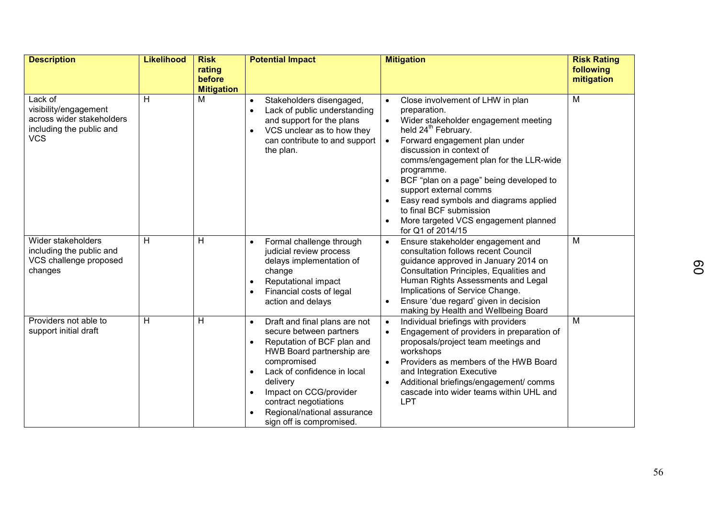| <b>Description</b>                                                                                      | <b>Likelihood</b> | <b>Risk</b>                           | <b>Potential Impact</b>                                                                                                                                                                                                                                                                                               | <b>Mitigation</b>                                                                                                                                                                                                                                                                                                                                                                                                                                                                                                                     | <b>Risk Rating</b>      |
|---------------------------------------------------------------------------------------------------------|-------------------|---------------------------------------|-----------------------------------------------------------------------------------------------------------------------------------------------------------------------------------------------------------------------------------------------------------------------------------------------------------------------|---------------------------------------------------------------------------------------------------------------------------------------------------------------------------------------------------------------------------------------------------------------------------------------------------------------------------------------------------------------------------------------------------------------------------------------------------------------------------------------------------------------------------------------|-------------------------|
|                                                                                                         |                   | rating<br>before<br><b>Mitigation</b> |                                                                                                                                                                                                                                                                                                                       |                                                                                                                                                                                                                                                                                                                                                                                                                                                                                                                                       | following<br>mitigation |
| Lack of<br>visibility/engagement<br>across wider stakeholders<br>including the public and<br><b>VCS</b> | H                 | м                                     | Stakeholders disengaged,<br>$\bullet$<br>Lack of public understanding<br>and support for the plans<br>VCS unclear as to how they<br>$\bullet$<br>can contribute to and support<br>the plan.                                                                                                                           | Close involvement of LHW in plan<br>$\bullet$<br>preparation.<br>Wider stakeholder engagement meeting<br>$\bullet$<br>held 24 <sup>th</sup> February.<br>Forward engagement plan under<br>$\bullet$<br>discussion in context of<br>comms/engagement plan for the LLR-wide<br>programme.<br>BCF "plan on a page" being developed to<br>$\bullet$<br>support external comms<br>Easy read symbols and diagrams applied<br>$\bullet$<br>to final BCF submission<br>More targeted VCS engagement planned<br>$\bullet$<br>for Q1 of 2014/15 | M                       |
| Wider stakeholders<br>including the public and<br>VCS challenge proposed<br>changes                     | H                 | H                                     | Formal challenge through<br>$\bullet$<br>judicial review process<br>delays implementation of<br>change<br>Reputational impact<br>$\bullet$<br>Financial costs of legal<br>action and delays                                                                                                                           | Ensure stakeholder engagement and<br>$\bullet$<br>consultation follows recent Council<br>guidance approved in January 2014 on<br>Consultation Principles, Equalities and<br>Human Rights Assessments and Legal<br>Implications of Service Change.<br>Ensure 'due regard' given in decision<br>making by Health and Wellbeing Board                                                                                                                                                                                                    | M                       |
| Providers not able to<br>support initial draft                                                          | H                 | H                                     | Draft and final plans are not<br>$\bullet$<br>secure between partners<br>Reputation of BCF plan and<br>HWB Board partnership are<br>compromised<br>Lack of confidence in local<br>$\bullet$<br>delivery<br>Impact on CCG/provider<br>contract negotiations<br>Regional/national assurance<br>sign off is compromised. | Individual briefings with providers<br>$\bullet$<br>Engagement of providers in preparation of<br>$\bullet$<br>proposals/project team meetings and<br>workshops<br>Providers as members of the HWB Board<br>$\bullet$<br>and Integration Executive<br>Additional briefings/engagement/ comms<br>cascade into wider teams within UHL and<br>LPT                                                                                                                                                                                         | M                       |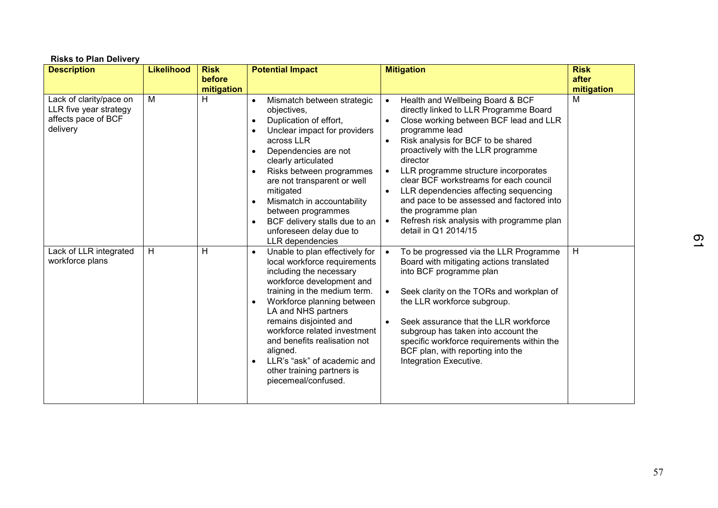| <b>Risks to Plan Delivery</b>                                                        |                   |                                     |                                                                                                                                                                                                                                                                                                                                                                                                                                                                         |                                                                                                                                                                                                                                                                                                                                                                                                                                                                                                                             |                                    |  |  |
|--------------------------------------------------------------------------------------|-------------------|-------------------------------------|-------------------------------------------------------------------------------------------------------------------------------------------------------------------------------------------------------------------------------------------------------------------------------------------------------------------------------------------------------------------------------------------------------------------------------------------------------------------------|-----------------------------------------------------------------------------------------------------------------------------------------------------------------------------------------------------------------------------------------------------------------------------------------------------------------------------------------------------------------------------------------------------------------------------------------------------------------------------------------------------------------------------|------------------------------------|--|--|
| <b>Description</b>                                                                   | <b>Likelihood</b> | <b>Risk</b><br>before<br>mitigation | <b>Potential Impact</b>                                                                                                                                                                                                                                                                                                                                                                                                                                                 | <b>Mitigation</b>                                                                                                                                                                                                                                                                                                                                                                                                                                                                                                           | <b>Risk</b><br>after<br>mitigation |  |  |
| Lack of clarity/pace on<br>LLR five year strategy<br>affects pace of BCF<br>delivery | M                 | H                                   | Mismatch between strategic<br>$\bullet$<br>objectives,<br>Duplication of effort,<br>$\bullet$<br>Unclear impact for providers<br>$\bullet$<br>across LLR<br>Dependencies are not<br>$\bullet$<br>clearly articulated<br>Risks between programmes<br>$\bullet$<br>are not transparent or well<br>mitigated<br>Mismatch in accountability<br>$\bullet$<br>between programmes<br>BCF delivery stalls due to an<br>$\bullet$<br>unforeseen delay due to<br>LLR dependencies | Health and Wellbeing Board & BCF<br>$\bullet$<br>directly linked to LLR Programme Board<br>Close working between BCF lead and LLR<br>programme lead<br>Risk analysis for BCF to be shared<br>proactively with the LLR programme<br>director<br>LLR programme structure incorporates<br>$\bullet$<br>clear BCF workstreams for each council<br>LLR dependencies affecting sequencing<br>and pace to be assessed and factored into<br>the programme plan<br>Refresh risk analysis with programme plan<br>detail in Q1 2014/15 | M                                  |  |  |
| Lack of LLR integrated<br>workforce plans                                            | H                 | Н                                   | Unable to plan effectively for<br>$\bullet$<br>local workforce requirements<br>including the necessary<br>workforce development and<br>training in the medium term.<br>Workforce planning between<br>$\bullet$<br>LA and NHS partners<br>remains disjointed and<br>workforce related investment<br>and benefits realisation not<br>aligned.<br>LLR's "ask" of academic and<br>$\bullet$<br>other training partners is<br>piecemeal/confused.                            | To be progressed via the LLR Programme<br>Board with mitigating actions translated<br>into BCF programme plan<br>Seek clarity on the TORs and workplan of<br>the LLR workforce subgroup.<br>Seek assurance that the LLR workforce<br>subgroup has taken into account the<br>specific workforce requirements within the<br>BCF plan, with reporting into the<br>Integration Executive.                                                                                                                                       | H                                  |  |  |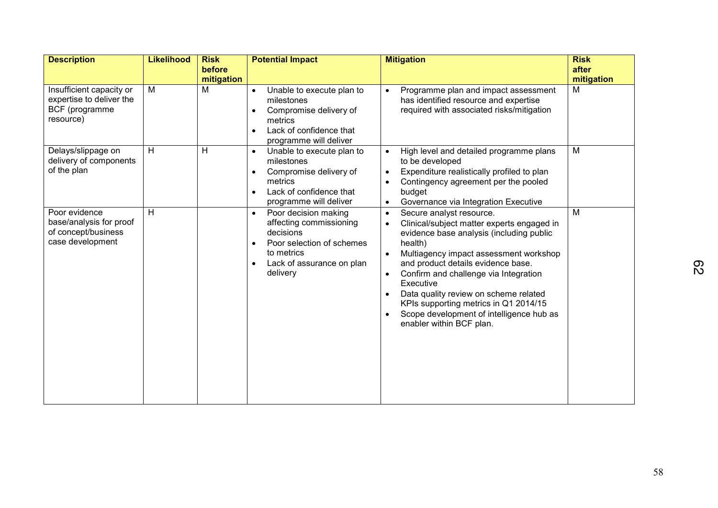| <b>Description</b>                                                                  | <b>Likelihood</b> | <b>Risk</b>          | <b>Potential Impact</b>                                                                                                                                                                 | <b>Mitigation</b>                                                                                                                                                                                                                                                                                                                                                                                                                                                                 | <b>Risk</b>         |
|-------------------------------------------------------------------------------------|-------------------|----------------------|-----------------------------------------------------------------------------------------------------------------------------------------------------------------------------------------|-----------------------------------------------------------------------------------------------------------------------------------------------------------------------------------------------------------------------------------------------------------------------------------------------------------------------------------------------------------------------------------------------------------------------------------------------------------------------------------|---------------------|
|                                                                                     |                   | before<br>mitigation |                                                                                                                                                                                         |                                                                                                                                                                                                                                                                                                                                                                                                                                                                                   | after<br>mitigation |
| Insufficient capacity or<br>expertise to deliver the<br>BCF (programme<br>resource) | M                 | M                    | Unable to execute plan to<br>$\bullet$<br>milestones<br>Compromise delivery of<br>$\bullet$<br>metrics<br>Lack of confidence that<br>$\bullet$<br>programme will deliver                | Programme plan and impact assessment<br>$\bullet$<br>has identified resource and expertise<br>required with associated risks/mitigation                                                                                                                                                                                                                                                                                                                                           | M                   |
| Delays/slippage on<br>delivery of components<br>of the plan                         | $\overline{H}$    | H                    | Unable to execute plan to<br>$\bullet$<br>milestones<br>Compromise delivery of<br>$\bullet$<br>metrics<br>Lack of confidence that<br>$\bullet$<br>programme will deliver                | High level and detailed programme plans<br>$\bullet$<br>to be developed<br>Expenditure realistically profiled to plan<br>$\bullet$<br>Contingency agreement per the pooled<br>budget<br>Governance via Integration Executive<br>$\bullet$                                                                                                                                                                                                                                         | M                   |
| Poor evidence<br>base/analysis for proof<br>of concept/business<br>case development | H                 |                      | Poor decision making<br>$\bullet$<br>affecting commissioning<br>decisions<br>Poor selection of schemes<br>$\bullet$<br>to metrics<br>Lack of assurance on plan<br>$\bullet$<br>delivery | Secure analyst resource.<br>$\bullet$<br>Clinical/subject matter experts engaged in<br>$\bullet$<br>evidence base analysis (including public<br>health)<br>Multiagency impact assessment workshop<br>and product details evidence base.<br>Confirm and challenge via Integration<br>$\bullet$<br>Executive<br>Data quality review on scheme related<br>KPIs supporting metrics in Q1 2014/15<br>Scope development of intelligence hub as<br>$\bullet$<br>enabler within BCF plan. | M                   |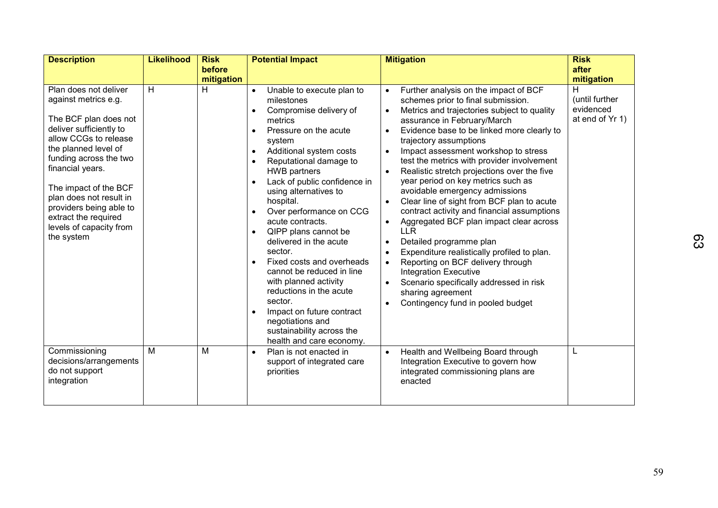| <b>Description</b>                                                                                                                                                                                                                                                                                                                               | <b>Likelihood</b> | <b>Risk</b>     | <b>Potential Impact</b>                                                                                                                                                                                                                                                                                                                                                                                                                                                                                                                                                                                                                                                                                                                            | <b>Mitigation</b>                                                                                                                                                                                                                                                                                                                                                                                                                                                                                                                                                                                                                                                                                                                                                                                                                                                                                            | <b>Risk</b>                                                       |
|--------------------------------------------------------------------------------------------------------------------------------------------------------------------------------------------------------------------------------------------------------------------------------------------------------------------------------------------------|-------------------|-----------------|----------------------------------------------------------------------------------------------------------------------------------------------------------------------------------------------------------------------------------------------------------------------------------------------------------------------------------------------------------------------------------------------------------------------------------------------------------------------------------------------------------------------------------------------------------------------------------------------------------------------------------------------------------------------------------------------------------------------------------------------------|--------------------------------------------------------------------------------------------------------------------------------------------------------------------------------------------------------------------------------------------------------------------------------------------------------------------------------------------------------------------------------------------------------------------------------------------------------------------------------------------------------------------------------------------------------------------------------------------------------------------------------------------------------------------------------------------------------------------------------------------------------------------------------------------------------------------------------------------------------------------------------------------------------------|-------------------------------------------------------------------|
|                                                                                                                                                                                                                                                                                                                                                  |                   | before          |                                                                                                                                                                                                                                                                                                                                                                                                                                                                                                                                                                                                                                                                                                                                                    |                                                                                                                                                                                                                                                                                                                                                                                                                                                                                                                                                                                                                                                                                                                                                                                                                                                                                                              | after                                                             |
| Plan does not deliver<br>against metrics e.g.<br>The BCF plan does not<br>deliver sufficiently to<br>allow CCGs to release<br>the planned level of<br>funding across the two<br>financial years.<br>The impact of the BCF<br>plan does not result in<br>providers being able to<br>extract the required<br>levels of capacity from<br>the system | H                 | mitigation<br>н | Unable to execute plan to<br>$\bullet$<br>milestones<br>Compromise delivery of<br>$\bullet$<br>metrics<br>Pressure on the acute<br>$\bullet$<br>system<br>Additional system costs<br>$\bullet$<br>Reputational damage to<br>$\bullet$<br><b>HWB</b> partners<br>Lack of public confidence in<br>$\bullet$<br>using alternatives to<br>hospital.<br>Over performance on CCG<br>$\bullet$<br>acute contracts.<br>QIPP plans cannot be<br>$\bullet$<br>delivered in the acute<br>sector.<br>Fixed costs and overheads<br>$\bullet$<br>cannot be reduced in line<br>with planned activity<br>reductions in the acute<br>sector.<br>Impact on future contract<br>$\bullet$<br>negotiations and<br>sustainability across the<br>health and care economy. | Further analysis on the impact of BCF<br>schemes prior to final submission.<br>Metrics and trajectories subject to quality<br>$\bullet$<br>assurance in February/March<br>Evidence base to be linked more clearly to<br>trajectory assumptions<br>Impact assessment workshop to stress<br>test the metrics with provider involvement<br>Realistic stretch projections over the five<br>year period on key metrics such as<br>avoidable emergency admissions<br>Clear line of sight from BCF plan to acute<br>contract activity and financial assumptions<br>Aggregated BCF plan impact clear across<br>$\bullet$<br><b>LLR</b><br>Detailed programme plan<br>$\bullet$<br>Expenditure realistically profiled to plan.<br>Reporting on BCF delivery through<br>$\bullet$<br><b>Integration Executive</b><br>Scenario specifically addressed in risk<br>sharing agreement<br>Contingency fund in pooled budget | mitigation<br>н<br>(until further<br>evidenced<br>at end of Yr 1) |
| Commissioning<br>decisions/arrangements<br>do not support<br>integration                                                                                                                                                                                                                                                                         | M                 | M               | Plan is not enacted in<br>$\bullet$<br>support of integrated care<br>priorities                                                                                                                                                                                                                                                                                                                                                                                                                                                                                                                                                                                                                                                                    | Health and Wellbeing Board through<br>$\bullet$<br>Integration Executive to govern how<br>integrated commissioning plans are<br>enacted                                                                                                                                                                                                                                                                                                                                                                                                                                                                                                                                                                                                                                                                                                                                                                      | L                                                                 |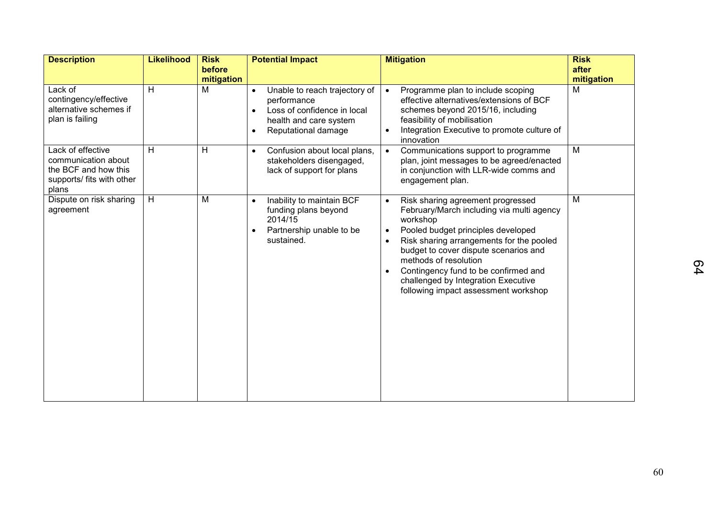| <b>Description</b>                                                                                     | <b>Likelihood</b> | <b>Risk</b><br>before | <b>Potential Impact</b>                                                                                                                                             | <b>Mitigation</b>                                                                                                                                                                                                                                                                                                                                                                                            | <b>Risk</b><br>after |
|--------------------------------------------------------------------------------------------------------|-------------------|-----------------------|---------------------------------------------------------------------------------------------------------------------------------------------------------------------|--------------------------------------------------------------------------------------------------------------------------------------------------------------------------------------------------------------------------------------------------------------------------------------------------------------------------------------------------------------------------------------------------------------|----------------------|
|                                                                                                        |                   | mitigation            |                                                                                                                                                                     |                                                                                                                                                                                                                                                                                                                                                                                                              | mitigation           |
| Lack of<br>contingency/effective<br>alternative schemes if<br>plan is failing                          | H                 | M                     | Unable to reach trajectory of<br>$\bullet$<br>performance<br>Loss of confidence in local<br>$\bullet$<br>health and care system<br>Reputational damage<br>$\bullet$ | Programme plan to include scoping<br>$\bullet$<br>effective alternatives/extensions of BCF<br>schemes beyond 2015/16, including<br>feasibility of mobilisation<br>Integration Executive to promote culture of<br>innovation                                                                                                                                                                                  | M                    |
| Lack of effective<br>communication about<br>the BCF and how this<br>supports/ fits with other<br>plans | H                 | H                     | Confusion about local plans,<br>$\bullet$<br>stakeholders disengaged,<br>lack of support for plans                                                                  | Communications support to programme<br>$\bullet$<br>plan, joint messages to be agreed/enacted<br>in conjunction with LLR-wide comms and<br>engagement plan.                                                                                                                                                                                                                                                  | M                    |
| Dispute on risk sharing<br>agreement                                                                   | H                 | M                     | Inability to maintain BCF<br>$\bullet$<br>funding plans beyond<br>2014/15<br>Partnership unable to be<br>$\bullet$<br>sustained.                                    | Risk sharing agreement progressed<br>$\bullet$<br>February/March including via multi agency<br>workshop<br>Pooled budget principles developed<br>$\bullet$<br>Risk sharing arrangements for the pooled<br>$\bullet$<br>budget to cover dispute scenarios and<br>methods of resolution<br>Contingency fund to be confirmed and<br>challenged by Integration Executive<br>following impact assessment workshop | M                    |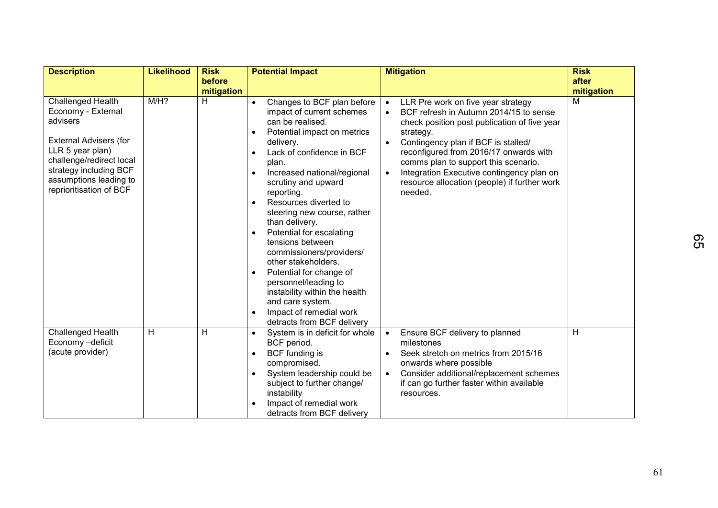| <b>Description</b>                                                                                                                                                                                                         | <b>Likelihood</b> | <b>Risk</b>     | <b>Potential Impact</b>                                                                                                                                                                                                                                                                                                                                                                                                                                                                                                                                                                                                                                                                 | <b>Mitigation</b>                                                                                                                                                                                                                                                                                                                                                                                                 | <b>Risk</b>     |
|----------------------------------------------------------------------------------------------------------------------------------------------------------------------------------------------------------------------------|-------------------|-----------------|-----------------------------------------------------------------------------------------------------------------------------------------------------------------------------------------------------------------------------------------------------------------------------------------------------------------------------------------------------------------------------------------------------------------------------------------------------------------------------------------------------------------------------------------------------------------------------------------------------------------------------------------------------------------------------------------|-------------------------------------------------------------------------------------------------------------------------------------------------------------------------------------------------------------------------------------------------------------------------------------------------------------------------------------------------------------------------------------------------------------------|-----------------|
|                                                                                                                                                                                                                            |                   | before          |                                                                                                                                                                                                                                                                                                                                                                                                                                                                                                                                                                                                                                                                                         |                                                                                                                                                                                                                                                                                                                                                                                                                   | after           |
| <b>Challenged Health</b><br>Economy - External<br>advisers<br><b>External Advisers (for</b><br>LLR 5 year plan)<br>challenge/redirect local<br>strategy including BCF<br>assumptions leading to<br>reprioritisation of BCF | $M/H$ ?           | mitigation<br>H | Changes to BCF plan before<br>$\bullet$<br>impact of current schemes<br>can be realised.<br>Potential impact on metrics<br>$\bullet$<br>delivery.<br>Lack of confidence in BCF<br>$\bullet$<br>plan.<br>Increased national/regional<br>$\bullet$<br>scrutiny and upward<br>reporting.<br>Resources diverted to<br>$\bullet$<br>steering new course, rather<br>than delivery.<br>Potential for escalating<br>$\bullet$<br>tensions between<br>commissioners/providers/<br>other stakeholders.<br>Potential for change of<br>$\bullet$<br>personnel/leading to<br>instability within the health<br>and care system.<br>Impact of remedial work<br>$\bullet$<br>detracts from BCF delivery | LLR Pre work on five year strategy<br>$\bullet$<br>BCF refresh in Autumn 2014/15 to sense<br>check position post publication of five year<br>strategy.<br>Contingency plan if BCF is stalled/<br>$\bullet$<br>reconfigured from 2016/17 onwards with<br>comms plan to support this scenario.<br>Integration Executive contingency plan on<br>$\bullet$<br>resource allocation (people) if further work<br>needed. | mitigation<br>M |
| Challenged Health<br>Economy -deficit<br>(acute provider)                                                                                                                                                                  | H                 | H               | System is in deficit for whole<br>$\bullet$<br>BCF period.<br>BCF funding is<br>$\bullet$<br>compromised.<br>System leadership could be<br>$\bullet$<br>subject to further change/<br>instability<br>Impact of remedial work<br>$\bullet$<br>detracts from BCF delivery                                                                                                                                                                                                                                                                                                                                                                                                                 | Ensure BCF delivery to planned<br>$\bullet$<br>milestones<br>Seek stretch on metrics from 2015/16<br>$\bullet$<br>onwards where possible<br>Consider additional/replacement schemes<br>$\bullet$<br>if can go further faster within available<br>resources.                                                                                                                                                       | H               |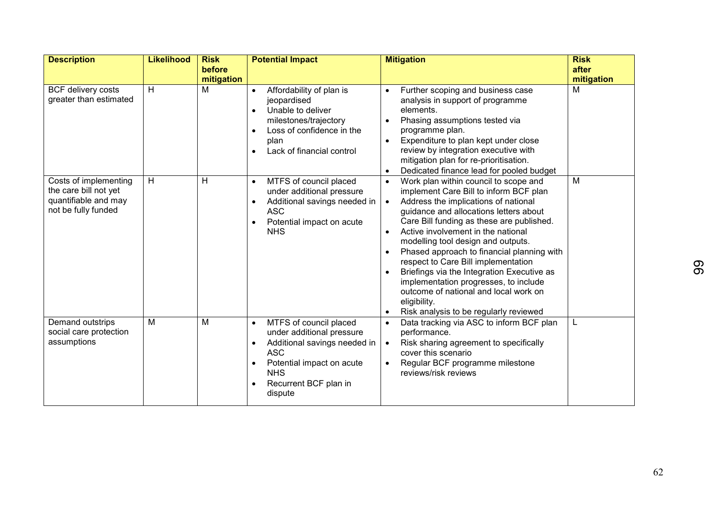| <b>Description</b>                                                                            | <b>Likelihood</b> | <b>Risk</b> | <b>Potential Impact</b>                                                                                                                                                                                                              | <b>Mitigation</b>                                                                                                                                                                                                                                                                                                                                                                                                                                                                                                                                                                      | <b>Risk</b> |
|-----------------------------------------------------------------------------------------------|-------------------|-------------|--------------------------------------------------------------------------------------------------------------------------------------------------------------------------------------------------------------------------------------|----------------------------------------------------------------------------------------------------------------------------------------------------------------------------------------------------------------------------------------------------------------------------------------------------------------------------------------------------------------------------------------------------------------------------------------------------------------------------------------------------------------------------------------------------------------------------------------|-------------|
|                                                                                               |                   | before      |                                                                                                                                                                                                                                      |                                                                                                                                                                                                                                                                                                                                                                                                                                                                                                                                                                                        | after       |
|                                                                                               |                   | mitigation  |                                                                                                                                                                                                                                      |                                                                                                                                                                                                                                                                                                                                                                                                                                                                                                                                                                                        | mitigation  |
| <b>BCF delivery costs</b><br>greater than estimated                                           | H                 | M           | Affordability of plan is<br>$\bullet$<br>jeopardised<br>Unable to deliver<br>$\bullet$<br>milestones/trajectory<br>Loss of confidence in the<br>$\bullet$<br>plan<br>Lack of financial control<br>$\bullet$                          | Further scoping and business case<br>analysis in support of programme<br>elements.<br>Phasing assumptions tested via<br>programme plan.<br>Expenditure to plan kept under close<br>review by integration executive with<br>mitigation plan for re-prioritisation.<br>Dedicated finance lead for pooled budget                                                                                                                                                                                                                                                                          | M           |
| Costs of implementing<br>the care bill not yet<br>quantifiable and may<br>not be fully funded | H                 | H           | MTFS of council placed<br>$\bullet$<br>under additional pressure<br>Additional savings needed in<br>$\bullet$<br><b>ASC</b><br>Potential impact on acute<br>$\bullet$<br><b>NHS</b>                                                  | Work plan within council to scope and<br>implement Care Bill to inform BCF plan<br>Address the implications of national<br>$\bullet$<br>guidance and allocations letters about<br>Care Bill funding as these are published.<br>Active involvement in the national<br>modelling tool design and outputs.<br>Phased approach to financial planning with<br>respect to Care Bill implementation<br>Briefings via the Integration Executive as<br>implementation progresses, to include<br>outcome of national and local work on<br>eligibility.<br>Risk analysis to be regularly reviewed | M           |
| Demand outstrips<br>social care protection<br>assumptions                                     | M                 | M           | MTFS of council placed<br>$\bullet$<br>under additional pressure<br>Additional savings needed in<br>$\bullet$<br><b>ASC</b><br>Potential impact on acute<br>$\bullet$<br><b>NHS</b><br>Recurrent BCF plan in<br>$\bullet$<br>dispute | Data tracking via ASC to inform BCF plan<br>performance.<br>Risk sharing agreement to specifically<br>cover this scenario<br>Regular BCF programme milestone<br>reviews/risk reviews                                                                                                                                                                                                                                                                                                                                                                                                   | L           |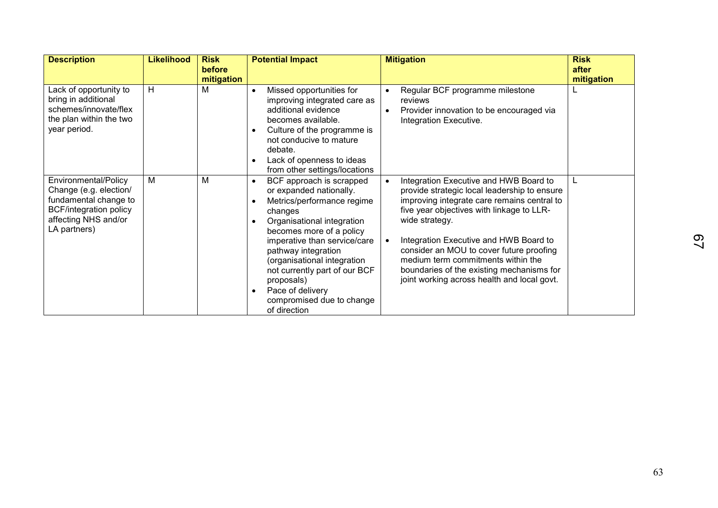| <b>Description</b>                                                                                                                               | <b>Likelihood</b> | <b>Risk</b><br>before<br>mitigation | <b>Potential Impact</b>                                                                                                                                                                                                                                                                                                                                                                | <b>Mitigation</b>                                                                                                                                                                                                                                                                                                                                                                                                                         | <b>Risk</b><br>after<br>mitigation |
|--------------------------------------------------------------------------------------------------------------------------------------------------|-------------------|-------------------------------------|----------------------------------------------------------------------------------------------------------------------------------------------------------------------------------------------------------------------------------------------------------------------------------------------------------------------------------------------------------------------------------------|-------------------------------------------------------------------------------------------------------------------------------------------------------------------------------------------------------------------------------------------------------------------------------------------------------------------------------------------------------------------------------------------------------------------------------------------|------------------------------------|
| Lack of opportunity to<br>bring in additional<br>schemes/innovate/flex<br>the plan within the two<br>year period.                                | н                 | м                                   | Missed opportunities for<br>$\bullet$<br>improving integrated care as<br>additional evidence<br>becomes available.<br>Culture of the programme is<br>not conducive to mature<br>debate.<br>Lack of openness to ideas<br>$\bullet$<br>from other settings/locations                                                                                                                     | Regular BCF programme milestone<br>$\bullet$<br>reviews<br>Provider innovation to be encouraged via<br>$\bullet$<br>Integration Executive.                                                                                                                                                                                                                                                                                                | L                                  |
| Environmental/Policy<br>Change (e.g. election/<br>fundamental change to<br><b>BCF/integration policy</b><br>affecting NHS and/or<br>LA partners) | Μ                 | M                                   | BCF approach is scrapped<br>$\bullet$<br>or expanded nationally.<br>Metrics/performance regime<br>changes<br>Organisational integration<br>becomes more of a policy<br>imperative than service/care<br>pathway integration<br>(organisational integration<br>not currently part of our BCF<br>proposals)<br>Pace of delivery<br>$\bullet$<br>compromised due to change<br>of direction | Integration Executive and HWB Board to<br>$\bullet$<br>provide strategic local leadership to ensure<br>improving integrate care remains central to<br>five year objectives with linkage to LLR-<br>wide strategy.<br>Integration Executive and HWB Board to<br>consider an MOU to cover future proofing<br>medium term commitments within the<br>boundaries of the existing mechanisms for<br>joint working across health and local govt. | L                                  |